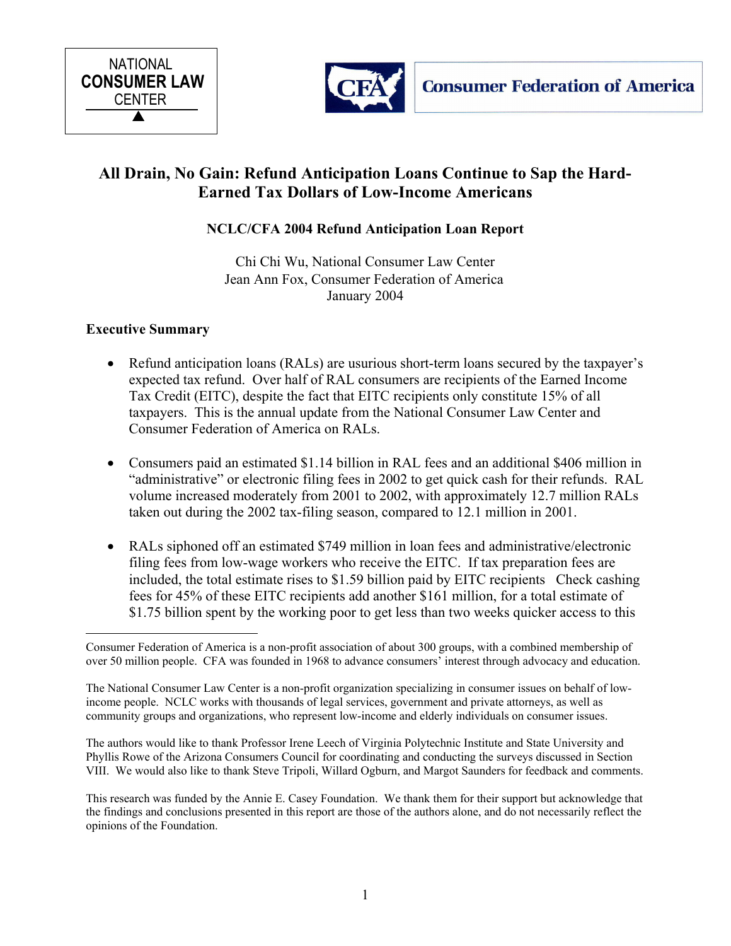



# **All Drain, No Gain: Refund Anticipation Loans Continue to Sap the Hard-Earned Tax Dollars of Low-Income Americans**

# **NCLC/CFA 2004 Refund Anticipation Loan Report**

Chi Chi Wu, National Consumer Law Center Jean Ann Fox, Consumer Federation of America January 2004

# **Executive Summary**

- Refund anticipation loans (RALs) are usurious short-term loans secured by the taxpayer's expected tax refund. Over half of RAL consumers are recipients of the Earned Income Tax Credit (EITC), despite the fact that EITC recipients only constitute 15% of all taxpayers. This is the annual update from the National Consumer Law Center and Consumer Federation of America on RALs.
- Consumers paid an estimated \$1.14 billion in RAL fees and an additional \$406 million in "administrative" or electronic filing fees in 2002 to get quick cash for their refunds. RAL volume increased moderately from 2001 to 2002, with approximately 12.7 million RALs taken out during the 2002 tax-filing season, compared to 12.1 million in 2001.
- RALs siphoned off an estimated \$749 million in loan fees and administrative/electronic filing fees from low-wage workers who receive the EITC. If tax preparation fees are included, the total estimate rises to \$1.59 billion paid by EITC recipients Check cashing fees for 45% of these EITC recipients add another \$161 million, for a total estimate of \$1.75 billion spent by the working poor to get less than two weeks quicker access to this

The authors would like to thank Professor Irene Leech of Virginia Polytechnic Institute and State University and Phyllis Rowe of the Arizona Consumers Council for coordinating and conducting the surveys discussed in Section VIII. We would also like to thank Steve Tripoli, Willard Ogburn, and Margot Saunders for feedback and comments.

 $\overline{a}$ Consumer Federation of America is a non-profit association of about 300 groups, with a combined membership of over 50 million people. CFA was founded in 1968 to advance consumers' interest through advocacy and education.

The National Consumer Law Center is a non-profit organization specializing in consumer issues on behalf of lowincome people. NCLC works with thousands of legal services, government and private attorneys, as well as community groups and organizations, who represent low-income and elderly individuals on consumer issues.

This research was funded by the Annie E. Casey Foundation. We thank them for their support but acknowledge that the findings and conclusions presented in this report are those of the authors alone, and do not necessarily reflect the opinions of the Foundation.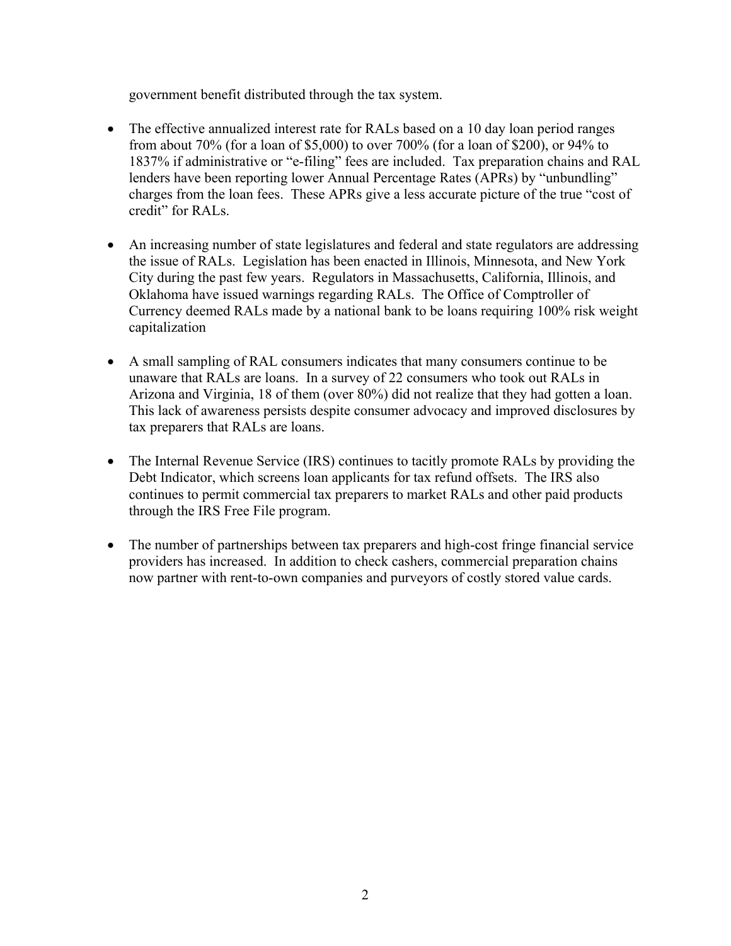government benefit distributed through the tax system.

- The effective annualized interest rate for RALs based on a 10 day loan period ranges from about 70% (for a loan of \$5,000) to over 700% (for a loan of \$200), or 94% to 1837% if administrative or "e-filing" fees are included. Tax preparation chains and RAL lenders have been reporting lower Annual Percentage Rates (APRs) by "unbundling" charges from the loan fees. These APRs give a less accurate picture of the true "cost of credit" for RALs.
- An increasing number of state legislatures and federal and state regulators are addressing the issue of RALs. Legislation has been enacted in Illinois, Minnesota, and New York City during the past few years. Regulators in Massachusetts, California, Illinois, and Oklahoma have issued warnings regarding RALs. The Office of Comptroller of Currency deemed RALs made by a national bank to be loans requiring 100% risk weight capitalization
- A small sampling of RAL consumers indicates that many consumers continue to be unaware that RALs are loans. In a survey of 22 consumers who took out RALs in Arizona and Virginia, 18 of them (over 80%) did not realize that they had gotten a loan. This lack of awareness persists despite consumer advocacy and improved disclosures by tax preparers that RALs are loans.
- The Internal Revenue Service (IRS) continues to tacitly promote RALs by providing the Debt Indicator, which screens loan applicants for tax refund offsets. The IRS also continues to permit commercial tax preparers to market RALs and other paid products through the IRS Free File program.
- The number of partnerships between tax preparers and high-cost fringe financial service providers has increased. In addition to check cashers, commercial preparation chains now partner with rent-to-own companies and purveyors of costly stored value cards.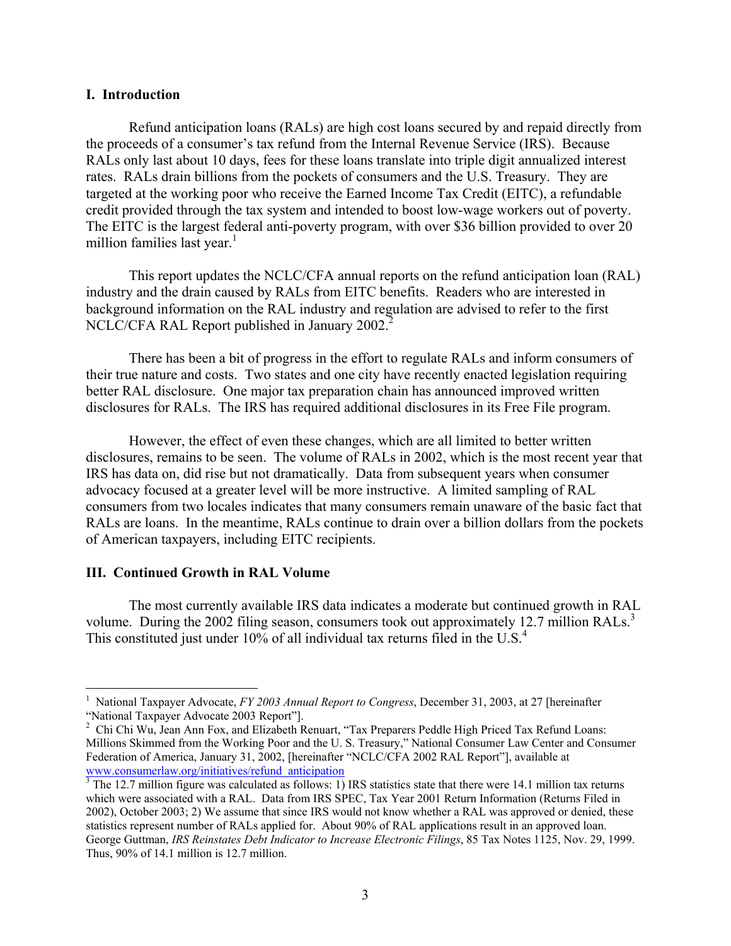#### **I. Introduction**

Refund anticipation loans (RALs) are high cost loans secured by and repaid directly from the proceeds of a consumer's tax refund from the Internal Revenue Service (IRS). Because RALs only last about 10 days, fees for these loans translate into triple digit annualized interest rates. RALs drain billions from the pockets of consumers and the U.S. Treasury. They are targeted at the working poor who receive the Earned Income Tax Credit (EITC), a refundable credit provided through the tax system and intended to boost low-wage workers out of poverty. The EITC is the largest federal anti-poverty program, with over \$36 billion provided to over 20 million families last year.<sup>[1](#page-2-0)</sup>

This report updates the NCLC/CFA annual reports on the refund anticipation loan (RAL) industry and the drain caused by RALs from EITC benefits. Readers who are interested in background information on the RAL industry and regulation are advised to refer to the first NCLC/CFA RAL Report published in January [2](#page-2-1)002.<sup>2</sup>

There has been a bit of progress in the effort to regulate RALs and inform consumers of their true nature and costs. Two states and one city have recently enacted legislation requiring better RAL disclosure. One major tax preparation chain has announced improved written disclosures for RALs. The IRS has required additional disclosures in its Free File program.

However, the effect of even these changes, which are all limited to better written disclosures, remains to be seen. The volume of RALs in 2002, which is the most recent year that IRS has data on, did rise but not dramatically. Data from subsequent years when consumer advocacy focused at a greater level will be more instructive. A limited sampling of RAL consumers from two locales indicates that many consumers remain unaware of the basic fact that RALs are loans. In the meantime, RALs continue to drain over a billion dollars from the pockets of American taxpayers, including EITC recipients.

# <span id="page-2-3"></span>**III. Continued Growth in RAL Volume**

 $\overline{a}$ 

The most currently available IRS data indicates a moderate but continued growth in RAL volume.During the 2002 filing season, consumers took out approximately 12.7 million RALs.<sup>3</sup> This constituted just under 10% of all individual tax returns filed in the U.S.<sup>[4](#page-2-3)</sup>

<span id="page-2-0"></span><sup>1</sup> National Taxpayer Advocate, *FY 2003 Annual Report to Congress*, December 31, 2003, at 27 [hereinafter "National Taxpayer Advocate 2003 Report"]. 2

<span id="page-2-1"></span><sup>&</sup>lt;sup>2</sup> Chi Chi Wu, Jean Ann Fox, and Elizabeth Renuart, "Tax Preparers Peddle High Priced Tax Refund Loans: Millions Skimmed from the Working Poor and the U. S. Treasury," National Consumer Law Center and Consumer Federation of America, January 31, 2002, [hereinafter "NCLC/CFA 2002 RAL Report"], available at [www.consumerlaw.org/initiatives/refund\\_anticipation](http://www.consumerlaw.org/initiatives/refund_anticipation) <sup>3</sup>

<span id="page-2-2"></span> $\frac{3}{3}$  The 12.7 million figure was calculated as follows: 1) IRS statistics state that there were 14.1 million tax returns which were associated with a RAL. Data from IRS SPEC, Tax Year 2001 Return Information (Returns Filed in 2002), October 2003; 2) We assume that since IRS would not know whether a RAL was approved or denied, these statistics represent number of RALs applied for. About 90% of RAL applications result in an approved loan. George Guttman, *IRS Reinstates Debt Indicator to Increase Electronic Filings*, 85 Tax Notes 1125, Nov. 29, 1999. Thus, 90% of 14.1 million is 12.7 million.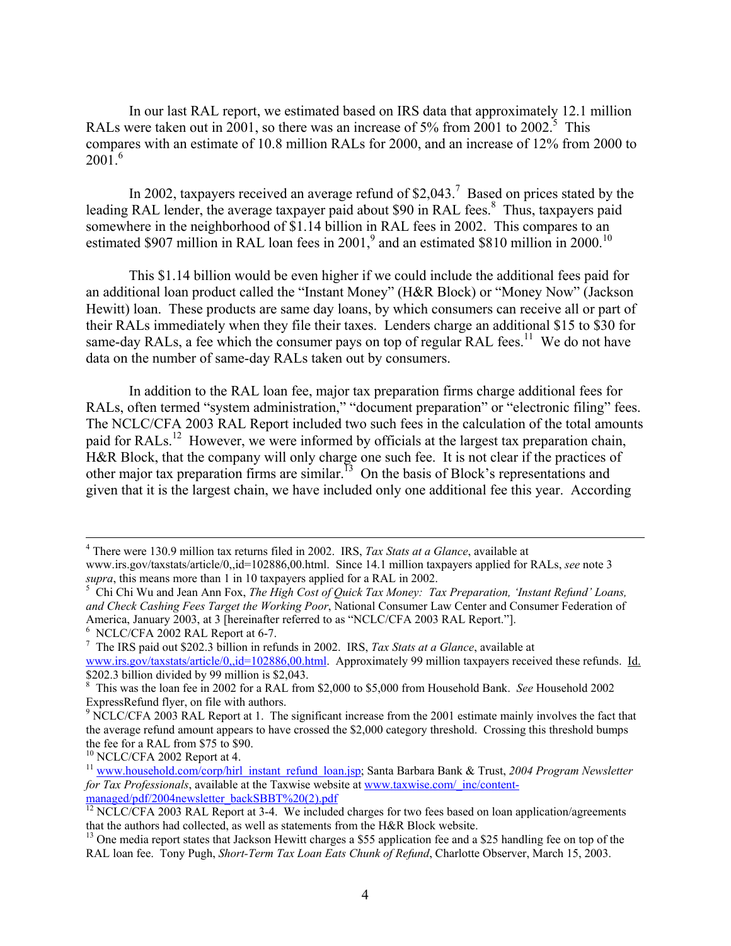In our last RAL report, we estimated based on IRS data that approximately 12.1 million RALswere taken out in 2001, so there was an increase of 5% from 2001 to 2002.<sup>5</sup> This compares with an estimate of 10.8 million RALs for 2000, and an increase of 12% from 2000 to  $2001.<sup>6</sup>$  $2001.<sup>6</sup>$  $2001.<sup>6</sup>$ 

In 2002, taxpayers received an average refund of  $$2,043$ .<sup>[7](#page-3-2)</sup> Based on prices stated by the leading RAL lender, the average taxpayer paid about \$90 in RAL fees.<sup>[8](#page-3-3)</sup> Thus, taxpayers paid somewhere in the neighborhood of \$1.14 billion in RAL fees in 2002. This compares to an estimated\$907 million in RAL loan fees in 2001,<sup>9</sup> and an estimated \$8[10](#page-3-5) million in 2000.<sup>10</sup>

This \$1.14 billion would be even higher if we could include the additional fees paid for an additional loan product called the "Instant Money" (H&R Block) or "Money Now" (Jackson Hewitt) loan. These products are same day loans, by which consumers can receive all or part of their RALs immediately when they file their taxes. Lenders charge an additional \$15 to \$30 for same-day RALs, a fee which the consumer pays on top of regular RAL fees.<sup>11</sup> We do not have data on the number of same-day RALs taken out by consumers.

In addition to the RAL loan fee, major tax preparation firms charge additional fees for RALs, often termed "system administration," "document preparation" or "electronic filing" fees. The NCLC/CFA 2003 RAL Report included two such fees in the calculation of the total amounts paid for RALs.<sup>12</sup> However, we were informed by officials at the largest tax preparation chain, H&R Block, that the company will only charge one such fee. It is not clear if the practices of other major tax preparation firms are similar.<sup>13</sup> On the basis of Block's representations and given that it is the largest chain, we have included only one additional fee this year. According

 $\frac{1}{4}$ There were 130.9 million tax returns filed in 2002. IRS, *Tax Stats at a Glance*, available at

www.irs.gov/taxstats/article/0,,id=102886,00.html. Since 14.1 million taxpayers applied for RALs, *see* note 3 *supra*, this means more than 1 in 10 taxpayers applied for a RAL in 2002.

<span id="page-3-0"></span>Chi Chi Wu and Jean Ann Fox, *The High Cost of Quick Tax Money: Tax Preparation, 'Instant Refund' Loans, and Check Cashing Fees Target the Working Poor*, National Consumer Law Center and Consumer Federation of America, January 2003, at 3 [hereinafter referred to as "NCLC/CFA 2003 RAL Report."].<br><sup>6</sup> NCLC/CFA 2002 RAL Report at 6-7.

<span id="page-3-1"></span>

<span id="page-3-2"></span> $\frac{7}{1}$  The IRS paid out \$202.3 billion in refunds in 2002. IRS, *Tax Stats at a Glance*, available at [www.irs.gov/taxstats/article/0,,id=102886,00.html.](http://www.irs.gov/taxstats/article/0,,id=102886,00.html) Approximately 99 million taxpayers received these refunds. Id.

<span id="page-3-3"></span><sup>\$202.3</sup> billion divided by 99 million is \$2,043. 8 This was the loan fee in 2002 for a RAL from \$2,000 to \$5,000 from Household Bank. *See* Household 2002 ExpressRefund flyer, on file with authors.

<span id="page-3-4"></span><sup>&</sup>lt;sup>9</sup> NCLC/CFA 2003 RAL Report at 1. The significant increase from the 2001 estimate mainly involves the fact that the average refund amount appears to have crossed the \$2,000 category threshold. Crossing this threshold bumps

<span id="page-3-6"></span><span id="page-3-5"></span>

the fee for a RAL from \$75 to \$90.<br><sup>10</sup> NCLC/CFA 2002 Report at 4. <sup>11</sup> [www.household.com/corp/hirl\\_instant\\_refund\\_loan.jsp](http://www.household.com/corp/hirl_instant_refund_loan.jsp); Santa Barbara Bank & Trust, *2004 Program Newsletter for Tax Professionals*, available at the Taxwise website at www.taxwise.com/ inc/content-

<span id="page-3-7"></span>[managed/pdf/2004newsletter\\_backSBBT%20\(2\).pdf](http://www.taxwise.com/_inc/content-managed/pdf/2004newsletter_front SBBT(2).pdf)<br>
<sup>12</sup> NCLC/CFA 2003 RAL Report at 3-4. We included charges for two fees based on loan application/agreements<br>
that the authors had collected, as well as statements from the H&

<span id="page-3-8"></span><sup>&</sup>lt;sup>13</sup> One media report states that Jackson Hewitt charges a \$55 application fee and a \$25 handling fee on top of the RAL loan fee. Tony Pugh, *Short-Term Tax Loan Eats Chunk of Refund*, Charlotte Observer, March 15, 2003.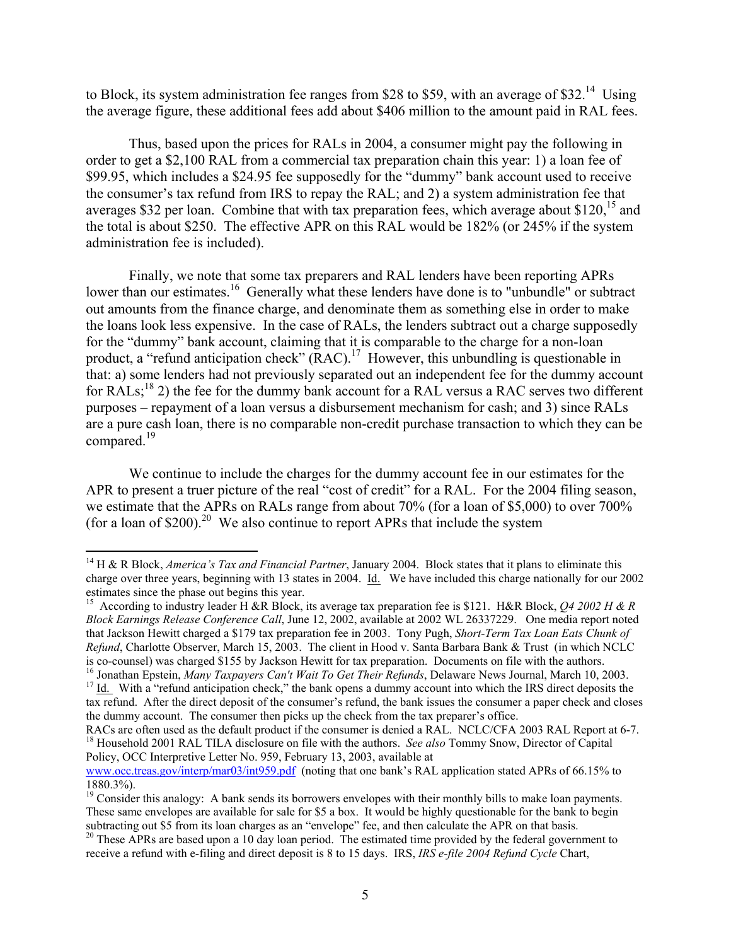to Block, its system administration fee ranges from \$28 to \$59, with an average of \$32.<sup>14</sup> Using the average figure, these additional fees add about \$406 million to the amount paid in RAL fees.

Thus, based upon the prices for RALs in 2004, a consumer might pay the following in order to get a \$2,100 RAL from a commercial tax preparation chain this year: 1) a loan fee of \$99.95, which includes a \$24.95 fee supposedly for the "dummy" bank account used to receive the consumer's tax refund from IRS to repay the RAL; and 2) a system administration fee that averages \$32 per loan. Combine that with tax preparation fees, which average about \$120,<sup>15</sup> and the total is about \$250. The effective APR on this RAL would be 182% (or 245% if the system administration fee is included).

Finally, we note that some tax preparers and RAL lenders have been reporting APRs lower than our estimates.<sup>16</sup> Generally what these lenders have done is to "unbundle" or subtract out amounts from the finance charge, and denominate them as something else in order to make the loans look less expensive. In the case of RALs, the lenders subtract out a charge supposedly for the "dummy" bank account, claiming that it is comparable to the charge for a non-loan product, a "refund anticipation check" (RAC).<sup>17</sup> However, this unbundling is questionable in that: a) some lenders had not previously separated out an independent fee for the dummy account for RALs;<sup>18</sup> 2) the fee for the dummy bank account for a RAL versus a RAC serves two different purposes – repayment of a loan versus a disbursement mechanism for cash; and 3) since RALs are a pure cash loan, there is no comparable non-credit purchase transaction to which they can be compared.<sup>19</sup>

We continue to include the charges for the dummy account fee in our estimates for the APR to present a truer picture of the real "cost of credit" for a RAL. For the 2004 filing season, we estimate that the APRs on RALs range from about 70% (for a loan of \$5,000) to over 700% (for a loan of \$200).<sup>20</sup> We also continue to report APRs that include the system

<span id="page-4-0"></span><sup>&</sup>lt;sup>14</sup> H & R Block, *America's Tax and Financial Partner*, January 2004. Block states that it plans to eliminate this charge over three years, beginning with 13 states in 2004.  $\underline{Id}$ . We have included this charge nationally for our 2002 estimates since the phase out begins this year.

<span id="page-4-1"></span><sup>&</sup>lt;sup>15</sup> According to industry leader H &R Block, its average tax preparation fee is \$121. H&R Block, *Q4 2002 H & R Block Earnings Release Conference Call*, June 12, 2002, available at 2002 WL 26337229. One media report noted that Jackson Hewitt charged a \$179 tax preparation fee in 2003. Tony Pugh, *Short-Term Tax Loan Eats Chunk of Refund*, Charlotte Observer, March 15, 2003. The client in Hood v. Santa Barbara Bank & Trust (in which NCLC

<span id="page-4-2"></span>is co-counsel) was charged \$155 by Jackson Hewitt for tax preparation. Documents on file with the authors.<br><sup>16</sup> Jonathan Epstein, *Many Taxpayers Can't Wait To Get Their Refunds*, Delaware News Journal, March 10, 2003.<br><sup>17</sup>

<span id="page-4-3"></span>tax refund. After the direct deposit of the consumer's refund, the bank issues the consumer a paper check and closes the dummy account. The consumer then picks up the check from the tax preparer's office.<br>RACs are often used as the default product if the consumer is denied a RAL. NCLC/CFA 2003 RAL Report at 6-7.

<span id="page-4-4"></span><sup>&</sup>lt;sup>18</sup> Household 2001 RAL TILA disclosure on file with the authors. *See also* Tommy Snow, Director of Capital Policy, OCC Interpretive Letter No. 959, February 13, 2003, available at

[www.occ.treas.gov/interp/mar03/int959.pdf](http://www.occ.treas.gov/interp/mar03/int959.pdf) (noting that one bank's RAL application stated APRs of 66.15% to 1880.3%). 19 Consider this analogy: A bank sends its borrowers envelopes with their monthly bills to make loan payments.

<span id="page-4-5"></span>These same envelopes are available for sale for \$5 a box. It would be highly questionable for the bank to begin subtracting out \$5 from its loan charges as an "envelope" fee, and then calculate the APR on that basis.

<span id="page-4-6"></span> $30$  These APRs are based upon a 10 day loan period. The estimated time provided by the federal government to receive a refund with e-filing and direct deposit is 8 to 15 days. IRS, *IRS e-file 2004 Refund Cycle* Chart,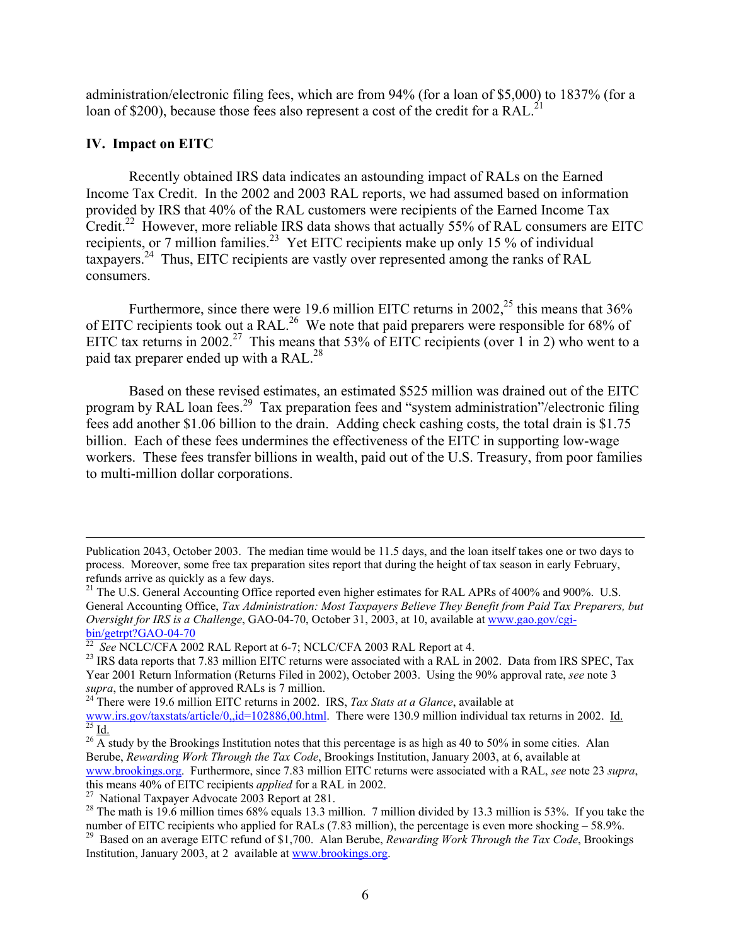administration/electronic filing fees, which are from 94% (for a loan of \$5,000) to 1837% (for a loan of \$200), because those fees also represent a cost of the credit for a RAL.<sup>[21](#page-5-0)</sup>

# **IV. Impact on EITC**

 $\overline{a}$ 

Recently obtained IRS data indicates an astounding impact of RALs on the Earned Income Tax Credit. In the 2002 and 2003 RAL reports, we had assumed based on information provided by IRS that 40% of the RAL customers were recipients of the Earned Income Tax Credit.<sup>22</sup> However, more reliable IRS data shows that actually 55% of RAL consumers are EITC recipients, or 7 million families.<sup>23</sup> Yet EITC recipients make up only 15 % of individual taxpayers[.24](#page-5-3) Thus, EITC recipients are vastly over represented among the ranks of RAL consumers.

Furthermore, since there were 19.6 million EITC returns in 2002,<sup>25</sup> this means that  $36\%$ of EITC recipients took out a RAL.<sup>26</sup> We note that paid preparers were responsible for 68% of EITC tax returns in 2002.<sup>27</sup> This means that 53% of EITC recipients (over 1 in 2) who went to a paid tax preparer ended up with a RAL.<sup>[28](#page-5-7)</sup>

Based on these revised estimates, an estimated \$525 million was drained out of the EITC program by RAL loan fees.<sup>29</sup> Tax preparation fees and "system administration"/electronic filing fees add another \$1.06 billion to the drain. Adding check cashing costs, the total drain is \$1.75 billion. Each of these fees undermines the effectiveness of the EITC in supporting low-wage workers. These fees transfer billions in wealth, paid out of the U.S. Treasury, from poor families to multi-million dollar corporations.

Publication 2043, October 2003. The median time would be 11.5 days, and the loan itself takes one or two days to process. Moreover, some free tax preparation sites report that during the height of tax season in early February,

<span id="page-5-0"></span><sup>&</sup>lt;sup>21</sup> The U.S. General Accounting Office reported even higher estimates for RAL APRs of 400% and 900%. U.S. General Accounting Office, *Tax Administration: Most Taxpayers Believe They Benefit from Paid Tax Preparers, but Oversight for IRS is a Challenge*, GAO-04-70, October 31, 2003, at 10, available at www.gao.gov/cgi-<br>bin/getrpt?GAO-04-70

<span id="page-5-2"></span><span id="page-5-1"></span>

<sup>&</sup>lt;sup>22</sup> See NCLC/CFA 2002 RAL Report at 6-7; NCLC/CFA 2003 RAL Report at 4.<br><sup>23</sup> IRS data reports that 7.83 million EITC returns were associated with a RAL in 2002. Data from IRS SPEC, Tax Year 2001 Return Information (Returns Filed in 2002), October 2003. Using the 90% approval rate, *see* note 3 *supra*, the number of approved RALs is 7 million. <sup>24</sup> There were 19.6 million EITC returns in 2002. IRS, *Tax Stats at a Glance*, available at

<span id="page-5-3"></span>www.irs.gov/taxstats/article/0, id=102886,00.html. There were 130.9 million individual tax returns in 2002. Id.<br><sup>[25](http://www.irs.gov/taxstats/article/0,,id=102886,00.html)</sup> Id.<br><sup>26</sup> A study by the Brookings Institution notes that this percentage is as high as 40 to 50% in some

<span id="page-5-5"></span><span id="page-5-4"></span>Berube, *Rewarding Work Through the Tax Code*, Brookings Institution, January 2003, at 6, available at [www.brookings.org](http://www.brookings.org/). Furthermore, since 7.83 million EITC returns were associated with a RAL, *see* note 23 *supra*,

<span id="page-5-7"></span><span id="page-5-6"></span>

<sup>&</sup>lt;sup>27</sup> National Taxpayer Advocate 2003 Report at 281.<br><sup>28</sup> The math is 19.6 million times 68% equals 13.3 million. 7 million divided by 13.3 million is 53%. If you take the

<span id="page-5-8"></span>number of EITC recipients who applied for RALs (7.83 million), the percentage is even more shocking – 58.9%.<br><sup>29</sup> Based on an average EITC refund of \$1,700. Alan Berube, *Rewarding Work Through the Tax Code*, Brookings Institution, January 2003, at 2 available at [www.brookings.org.](http://www.brookings.org/)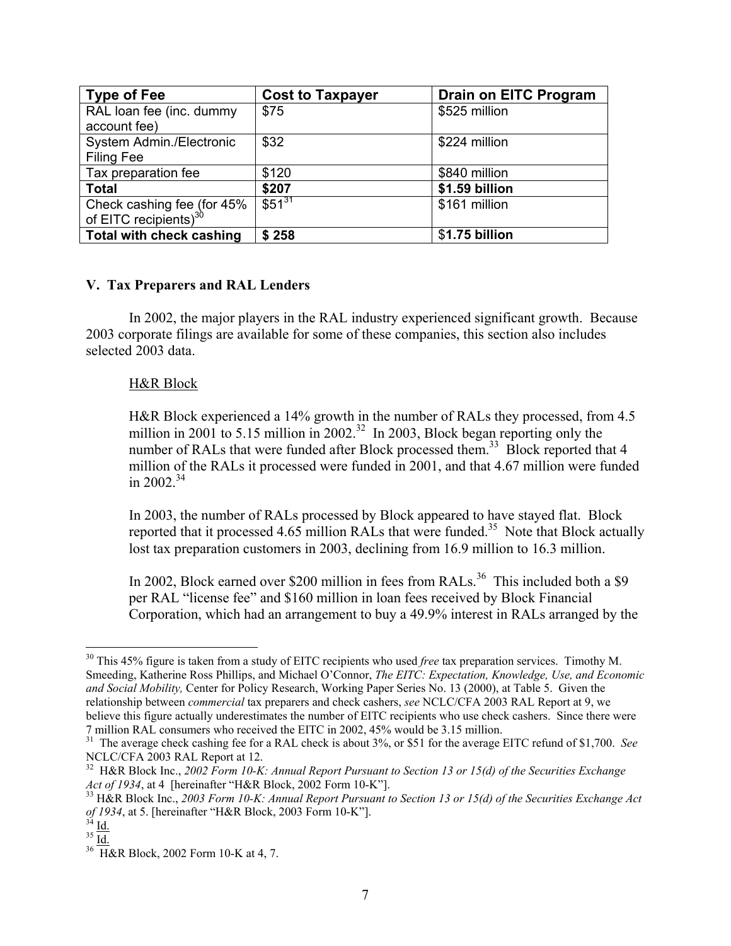| <b>Type of Fee</b>                                                 | <b>Cost to Taxpayer</b> | <b>Drain on EITC Program</b> |
|--------------------------------------------------------------------|-------------------------|------------------------------|
| RAL loan fee (inc. dummy<br>account fee)                           | \$75                    | \$525 million                |
| System Admin./Electronic<br><b>Filing Fee</b>                      | \$32                    | \$224 million                |
| Tax preparation fee                                                | \$120                   | \$840 million                |
| <b>Total</b>                                                       | \$207                   | \$1.59 billion               |
| Check cashing fee (for $45\%$<br>of EITC recipients) <sup>30</sup> | $$51^{31}$              | \$161 million                |
| <b>Total with check cashing</b>                                    | \$258                   | \$1.75 billion               |

# **V. Tax Preparers and RAL Lenders**

In 2002, the major players in the RAL industry experienced significant growth. Because 2003 corporate filings are available for some of these companies, this section also includes selected 2003 data.

# H&R Block

H&R Block experienced a 14% growth in the number of RALs they processed, from 4.5 million in 2001 to 5.15 million in 2002.<sup>32</sup> In 2003, Block began reporting only the number of RALs that were funded after Block processed them.<sup>33</sup> Block reported that 4 million of the RALs it processed were funded in 2001, and that 4.67 million were funded in 2002 $34$ 

In 2003, the number of RALs processed by Block appeared to have stayed flat. Block reported that it processed 4.65 million RALs that were funded.<sup>35</sup> Note that Block actually lost tax preparation customers in 2003, declining from 16.9 million to 16.3 million.

In 2002, Block earned over \$200 million in fees from RALs.<sup>36</sup> This included both a \$9 per RAL "license fee" and \$160 million in loan fees received by Block Financial Corporation, which had an arrangement to buy a 49.9% interest in RALs arranged by the

<span id="page-6-0"></span><sup>1</sup> <sup>30</sup> This 45% figure is taken from a study of EITC recipients who used *free* tax preparation services. Timothy M. Smeeding, Katherine Ross Phillips, and Michael O'Connor, *The EITC: Expectation, Knowledge, Use, and Economic and Social Mobility,* Center for Policy Research, Working Paper Series No. 13 (2000), at Table 5. Given the relationship between *commercial* tax preparers and check cashers, *see* NCLC/CFA 2003 RAL Report at 9, we believe this figure actually underestimates the number of EITC recipients who use check cashers. Since there were 7 million RAL consumers who received the EITC in 2002, 45% would be 3.15 million.

<span id="page-6-1"></span><sup>&</sup>lt;sup>31</sup> The average check cashing fee for a RAL check is about 3%, or \$51 for the average EITC refund of \$1,700. *See* 

<span id="page-6-2"></span>NCLC/CFA 2003 RAL Report at 12.<br><sup>32</sup> H&R Block Inc., *2002 Form 10-K: Annual Report Pursuant to Section 13 or 15(d) of the Securities Exchange*<br>*Act of 1934*, at 4 [hereinafter "H&R Block, 2002 Form 10-K"].

<span id="page-6-3"></span> $33$  H&R Block Inc., 2003 Form 10-K: Annual Report Pursuant to Section 13 or 15(d) of the Securities Exchange Act *of 1934*, at 5. [hereinafter "H&R Block, 2003 Form 10-K"].<br><sup>34</sup> <u>Id.</u><br><sup>36</sup> H&R Block, 2002 Form 10-K at 4, 7.

<span id="page-6-4"></span>

<span id="page-6-5"></span>

<span id="page-6-6"></span>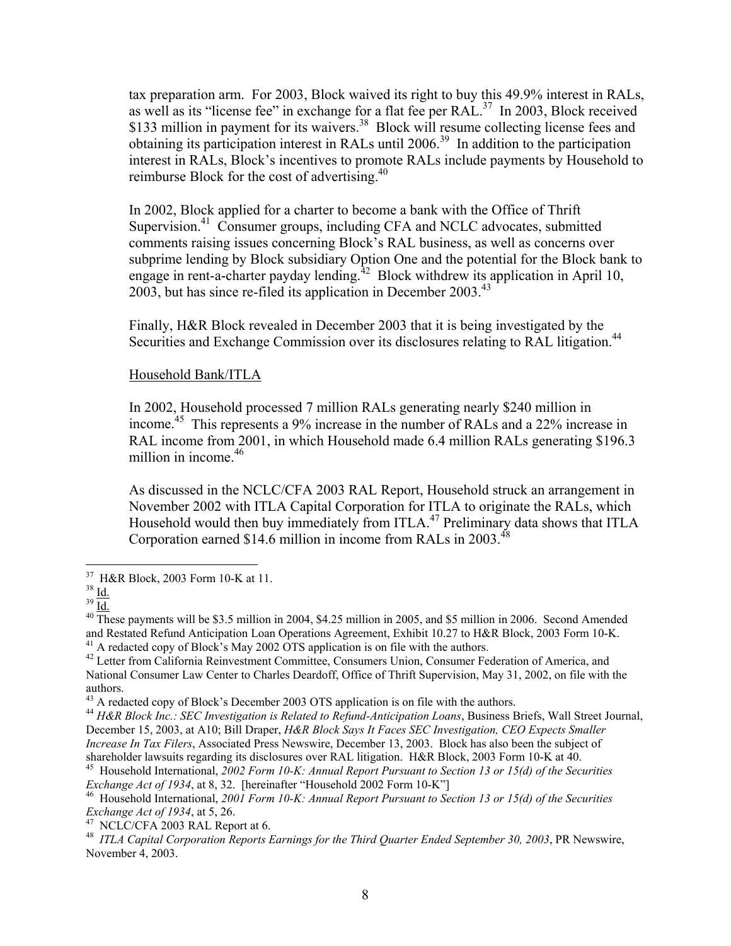tax preparation arm. For 2003, Block waived its right to buy this 49.9% interest in RALs, as well as its "license fee" in exchange for a flat fee per  $RAL^{37}$  In 2003, Block received \$133 million in payment for its waivers.<sup>38</sup> Block will resume collecting license fees and obtaining its participation interest in RALs until 2006.[39](#page-7-2) In addition to the participation interest in RALs, Block's incentives to promote RALs include payments by Household to reimburse Block for the cost of advertising.<sup>40</sup>

In 2002, Block applied for a charter to become a bank with the Office of Thrift Supervision.<sup>41</sup> Consumer groups, including CFA and NCLC advocates, submitted comments raising issues concerning Block's RAL business, as well as concerns over subprime lending by Block subsidiary Option One and the potential for the Block bank to engage in rent-a-charter payday lending.<sup>42</sup> Block withdrew its application in April 10, 2003, but has since re-filed its application in December 2003.[43](#page-7-6)

Finally, H&R Block revealed in December 2003 that it is being investigated by the Securities and Exchange Commission over its disclosures relating to RAL litigation.<sup>[44](#page-7-7)</sup>

#### Household Bank/ITLA

In 2002, Household processed 7 million RALs generating nearly \$240 million in income. [45](#page-7-8) This represents a 9% increase in the number of RALs and a 22% increase in RAL income from 2001, in which Household made 6.4 million RALs generating \$196.3 million in income. [46](#page-7-9) 

As discussed in the NCLC/CFA 2003 RAL Report, Household struck an arrangement in November 2002 with ITLA Capital Corporation for ITLA to originate the RALs, which Household would then buy immediately from ITLA.<sup>47</sup> Preliminary data shows that ITLA Corporation earned \$14.6 million in income from RALs in 2003.<sup>[48](#page-7-11)</sup>

<span id="page-7-0"></span>

<span id="page-7-1"></span>

<span id="page-7-3"></span><span id="page-7-2"></span>

<sup>&</sup>lt;sup>37</sup> H&R Block, 2003 Form 10-K at 11.<br><sup>39</sup> <u>Id.</u><br><sup>40</sup> These payments will be \$3.5 million in 2004, \$4.25 million in 2005, and \$5 million in 2006. Second Amended<br>and Restated Refund Anticipation Loan Operations Agreement,

<span id="page-7-5"></span><span id="page-7-4"></span>

 $41$  A redacted copy of Block's May 2002 OTS application is on file with the authors.<br> $42$  Letter from California Reinvestment Committee, Consumers Union, Consumer Federation of America, and National Consumer Law Center to Charles Deardoff, Office of Thrift Supervision, May 31, 2002, on file with the authors.<br><sup>43</sup> A redacted copy of Block's December 2003 OTS application is on file with the authors.<br><sup>44</sup> H&R Block Inc.: SEC Investigation is Related to Refund-Anticipation Loans, Business Briefs, Wall Street Journal,

<span id="page-7-6"></span>

<span id="page-7-7"></span>December 15, 2003, at A10; Bill Draper, *H&R Block Says It Faces SEC Investigation, CEO Expects Smaller Increase In Tax Filers*, Associated Press Newswire, December 13, 2003. Block has also been the subject of

<span id="page-7-8"></span>shareholder lawsuits regarding its disclosures over RAL litigation. H&R Block, 2003 Form 10-K at 40.<br><sup>45</sup> Household International, 2002 Form 10-K: Annual Report Pursuant to Section 13 or 15(d) of the Securities Exchange Ac

<span id="page-7-9"></span><sup>&</sup>lt;sup>46</sup> Household International, *2001 Form 10-K: Annual Report Pursuant to Section 13 or 15(d) of the Securities Exchange Act of 1934, at 5, 26.<br><sup>47</sup> NCLC/CFA 2003 RAL Report at 6.* 

<span id="page-7-10"></span>

<span id="page-7-11"></span><sup>&</sup>lt;sup>48</sup> ITLA Capital Corporation Reports Earnings for the Third Quarter Ended September 30, 2003, PR Newswire, November 4, 2003.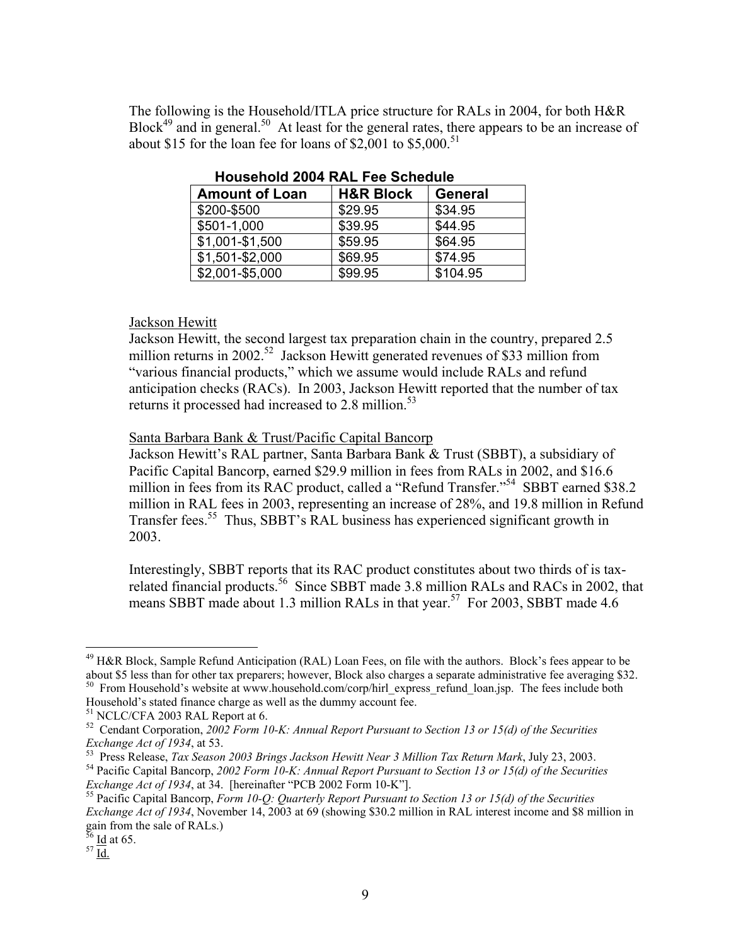The following is the Household/ITLA price structure for RALs in 2004, for both H&R Block<sup>49</sup> and in general.<sup>50</sup> At least for the general rates, there appears to be an increase of about \$15 for the loan fee for loans of \$2,001 to \$5,000.<sup>51</sup>

| <b>Amount of Loan</b> | <b>H&amp;R Block</b> | <b>General</b> |
|-----------------------|----------------------|----------------|
| \$200-\$500           | \$29.95              | \$34.95        |
| \$501-1,000           | \$39.95              | \$44.95        |
| \$1,001-\$1,500       | \$59.95              | \$64.95        |
| \$1,501-\$2,000       | \$69.95              | \$74.95        |
| \$2,001-\$5,000       | \$99.95              | \$104.95       |

**Household 2004 RAL Fee Schedule** 

# Jackson Hewitt

Jackson Hewitt, the second largest tax preparation chain in the country, prepared 2.5 million returns in 2002.<sup>52</sup> Jackson Hewitt generated revenues of \$33 million from "various financial products," which we assume would include RALs and refund anticipation checks (RACs). In 2003, Jackson Hewitt reported that the number of tax returns it processed had increased to  $2.8$  million.<sup>53</sup>

Santa Barbara Bank & Trust/Pacific Capital Bancorp

Jackson Hewitt's RAL partner, Santa Barbara Bank & Trust (SBBT), a subsidiary of Pacific Capital Bancorp, earned \$29.9 million in fees from RALs in 2002, and \$16.6 million in fees from its RAC product, called a "Refund Transfer."<sup>54</sup> SBBT earned \$38.2 million in RAL fees in 2003, representing an increase of 28%, and 19.8 million in Refund Transfer fees.<sup>55</sup> Thus, SBBT's RAL business has experienced significant growth in 2003.

Interestingly, SBBT reports that its RAC product constitutes about two thirds of is taxrelated financial products.<sup>56</sup> Since SBBT made 3.8 million RALs and RACs in 2002, that means SBBT made about 1.3 million RALs in that year.<sup>57</sup> For 2003, SBBT made 4.6

<span id="page-8-0"></span><sup>&</sup>lt;sup>49</sup> H&R Block, Sample Refund Anticipation (RAL) Loan Fees, on file with the authors. Block's fees appear to be about \$5 less than for other tax preparers; however, Block also charges a separate administrative fee averaging \$32.<br><sup>50</sup> From Household's website at www.household.com/corp/hirl\_express\_refund\_loan.jsp. The fees include bo

<span id="page-8-3"></span><span id="page-8-2"></span>

<span id="page-8-1"></span>Household's stated finance charge as well as the dummy account fee.<br><sup>51</sup> NCLC/CFA 2003 RAL Report at 6.<br><sup>52</sup> Cendant Corporation, 2002 Form 10-K: Annual Report Pursuant to Section 13 or 15(d) of the Securities Exchange Act

<span id="page-8-5"></span><span id="page-8-4"></span>

<sup>&</sup>lt;sup>53</sup> Press Release, *Tax Season 2003 Brings Jackson Hewitt Near 3 Million Tax Return Mark*, July 23, 2003.<br><sup>54</sup> Pacific Capital Bancorp, 2002 Form 10-K: Annual Report Pursuant to Section 13 or 15(d) of the Securities *Exc* 

<span id="page-8-6"></span><sup>&</sup>lt;sup>55</sup> Pacific Capital Bancorp, *Form 10-Q: Quarterly Report Pursuant to Section 13 or 15(d) of the Securities Exchange Act of 1934*, November 14, 2003 at 69 (showing \$30.2 million in RAL interest income and \$8 million in gain from the sale of RALs.)<br> $rac{56}{57}$   $\frac{Id}{Id}$  at 65.

<span id="page-8-7"></span>

<span id="page-8-8"></span>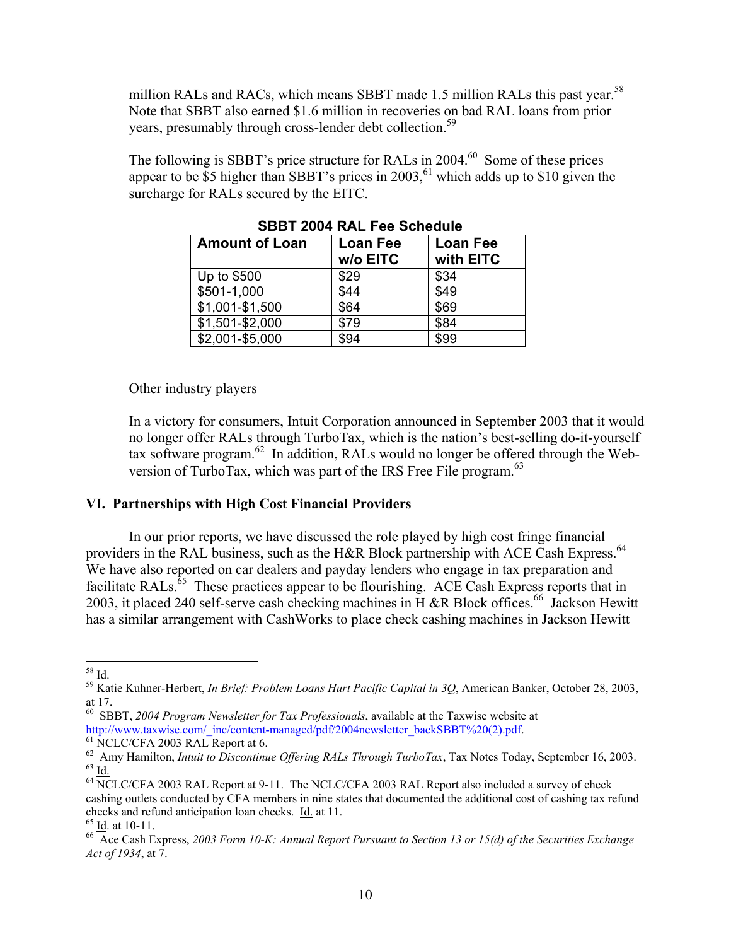million RALs and RACs, which means SBBT made 1.5 million RALs this past year.<sup>58</sup> Note that SBBT also earned \$1.6 million in recoveries on bad RAL loans from prior years, presumably through cross-lender debt collection.<sup>[59](#page-9-1)</sup>

The following is SBBT's price structure for RALs in 2004.<sup>60</sup> Some of these prices appear to be  $\overline{55}$  higher than SBBT's prices in 2003,<sup>61</sup> which adds up to \$10 given the surcharge for RALs secured by the EITC.

| <b>Amount of Loan</b> | Loan Fee<br>w/o EITC | <b>Loan Fee</b><br>with EITC |
|-----------------------|----------------------|------------------------------|
| Up to \$500           | \$29                 | \$34                         |
| \$501-1,000           | \$44                 | \$49                         |
| \$1,001-\$1,500       | \$64                 | \$69                         |
| \$1,501-\$2,000       | \$79                 | \$84                         |
| \$2,001-\$5,000       | \$94                 | \$99                         |

**SBBT 2004 RAL Fee Schedule** 

#### Other industry players

In a victory for consumers, Intuit Corporation announced in September 2003 that it would no longer offer RALs through TurboTax, which is the nation's best-selling do-it-yourself tax software program. [62](#page-9-4) In addition, RALs would no longer be offered through the Web-version of TurboTax, which was part of the IRS Free File program.<sup>[63](#page-9-5)</sup>

# **VI. Partnerships with High Cost Financial Providers**

In our prior reports, we have discussed the role played by high cost fringe financial providers in the RAL business, such as the H&R Block partnership with ACE Cash Express.<sup>64</sup> We have also reported on car dealers and payday lenders who engage in tax preparation and facilitate RALs.<sup>65</sup> These practices appear to be flourishing. ACE Cash Express reports that in 2003, it placed 240 self-serve cash checking machines in H &R Block offices.<sup>66</sup> Jackson Hewitt has a similar arrangement with CashWorks to place check cashing machines in Jackson Hewitt

 $\overline{a}$ 

<span id="page-9-1"></span><span id="page-9-0"></span><sup>58</sup> Id. 59 Katie Kuhner-Herbert, *In Brief: Problem Loans Hurt Pacific Capital in 3Q*, American Banker, October 28, 2003, at 17.

<span id="page-9-2"></span><sup>60</sup> SBBT, *2004 Program Newsletter for Tax Professionals*, available at the Taxwise website at

<span id="page-9-3"></span>[http://www.taxwise.com/\\_inc/content-managed/pdf/2004newsletter\\_backSBBT%20\(2\).pdf.](http://www.taxwise.com/_inc/content-managed/pdf/2004newsletter_backSBBT (2).pdf)<br>
<sup>[61](http://www.taxwise.com/_inc/content-managed/pdf/2004newsletter_backSBBT (2).pdf)</sup> NCLC/CFA 2003 RAL Report at 6.<br>
<sup>62</sup> Amy Hamilton, *Intuit to Discontinue Offering RALs Through TurboTax*, Tax Notes Today, September

<span id="page-9-6"></span><span id="page-9-5"></span><span id="page-9-4"></span>cashing outlets conducted by CFA members in nine states that documented the additional cost of cashing tax refund<br>checks and refund anticipation loan checks. Id. at 11.

<span id="page-9-8"></span><span id="page-9-7"></span>

<sup>&</sup>lt;sup>65</sup> Id. at 10-11.<br><sup>66</sup> Ace Cash Express, *2003 Form 10-K: Annual Report Pursuant to Section 13 or 15(d) of the Securities Exchange Act of 1934*, at 7.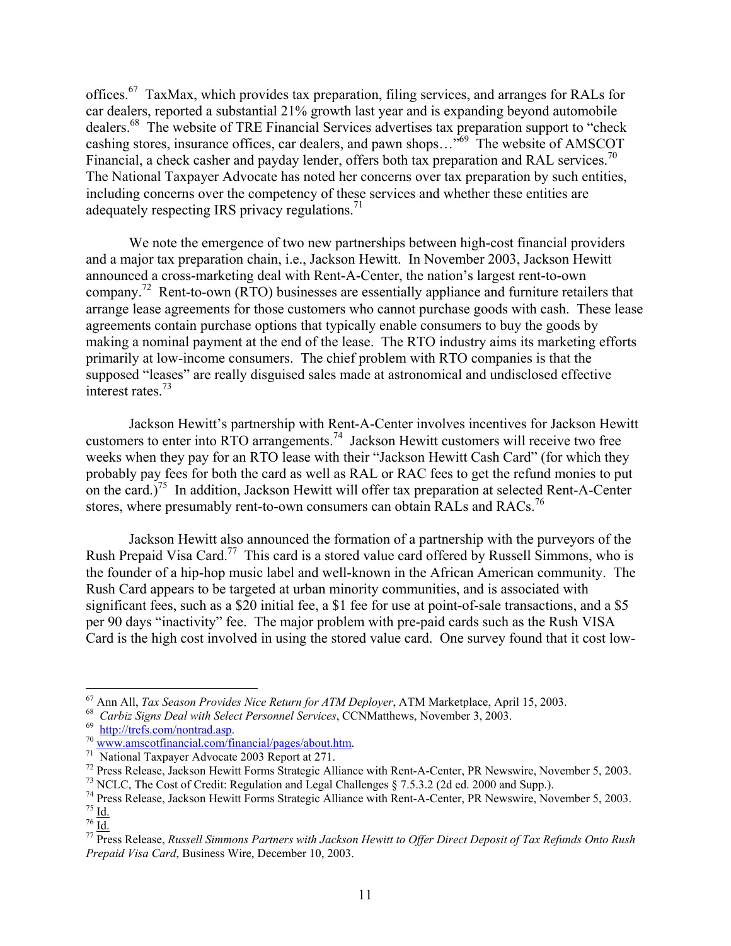offices.[67](#page-10-0) TaxMax, which provides tax preparation, filing services, and arranges for RALs for car dealers, reported a substantial 21% growth last year and is expanding beyond automobile dealers.<sup>68</sup> The website of TRE Financial Services advertises tax preparation support to "check" cashing stores, insurance offices, car dealers, and pawn shops...<sup>569</sup> The website of AMSCOT Financial, a check casher and payday lender, offers both tax preparation and RAL services.<sup>70</sup> The National Taxpayer Advocate has noted her concerns over tax preparation by such entities, including concerns over the competency of these services and whether these entities are adequately respecting IRS privacy regulations.<sup>71</sup>

We note the emergence of two new partnerships between high-cost financial providers and a major tax preparation chain, i.e., Jackson Hewitt. In November 2003, Jackson Hewitt announced a cross-marketing deal with Rent-A-Center, the nation's largest rent-to-own company.<sup>72</sup> Rent-to-own (RTO) businesses are essentially appliance and furniture retailers that arrange lease agreements for those customers who cannot purchase goods with cash. These lease agreements contain purchase options that typically enable consumers to buy the goods by making a nominal payment at the end of the lease. The RTO industry aims its marketing efforts primarily at low-income consumers. The chief problem with RTO companies is that the supposed "leases" are really disguised sales made at astronomical and undisclosed effective interest rates. [73](#page-10-6)

Jackson Hewitt's partnership with Rent-A-Center involves incentives for Jackson Hewitt customers to enter into RTO arrangements.<sup>74</sup> Jackson Hewitt customers will receive two free weeks when they pay for an RTO lease with their "Jackson Hewitt Cash Card" (for which they probably pay fees for both the card as well as RAL or RAC fees to get the refund monies to put on the card.)<sup>75</sup> In addition, Jackson Hewitt will offer tax preparation at selected Rent-A-Center stores, where presumably rent-to-own consumers can obtain RALs and RACs.<sup>[76](#page-10-9)</sup>

Jackson Hewitt also announced the formation of a partnership with the purveyors of the Rush Prepaid Visa Card.<sup>77</sup> This card is a stored value card offered by Russell Simmons, who is the founder of a hip-hop music label and well-known in the African American community. The Rush Card appears to be targeted at urban minority communities, and is associated with significant fees, such as a \$20 initial fee, a \$1 fee for use at point-of-sale transactions, and a \$5 per 90 days "inactivity" fee. The major problem with pre-paid cards such as the Rush VISA Card is the high cost involved in using the stored value card. One survey found that it cost low-

 $67$  Ann All, Tax Season Provides Nice Return for ATM Deployer, ATM Marketplace, April 15, 2003.

<span id="page-10-1"></span>

<span id="page-10-2"></span>

<span id="page-10-3"></span>

<span id="page-10-4"></span>

<span id="page-10-5"></span>

<span id="page-10-7"></span><span id="page-10-6"></span>

<span id="page-10-0"></span><sup>&</sup>lt;sup>67</sup> Ann All, *Tax Season Provides Nice Return for ATM Deployer*, ATM Marketplace, April 15, 2003.<br>
<sup>68</sup> *Carbiz Signs Deal with Select Personnel Services*, CCNMatthews, November 3, 2003.<br>
<sup>69</sup> http://trefs.com/nontrad.as

<span id="page-10-9"></span><span id="page-10-8"></span>

<span id="page-10-10"></span>*Prepaid Visa Card*, Business Wire, December 10, 2003.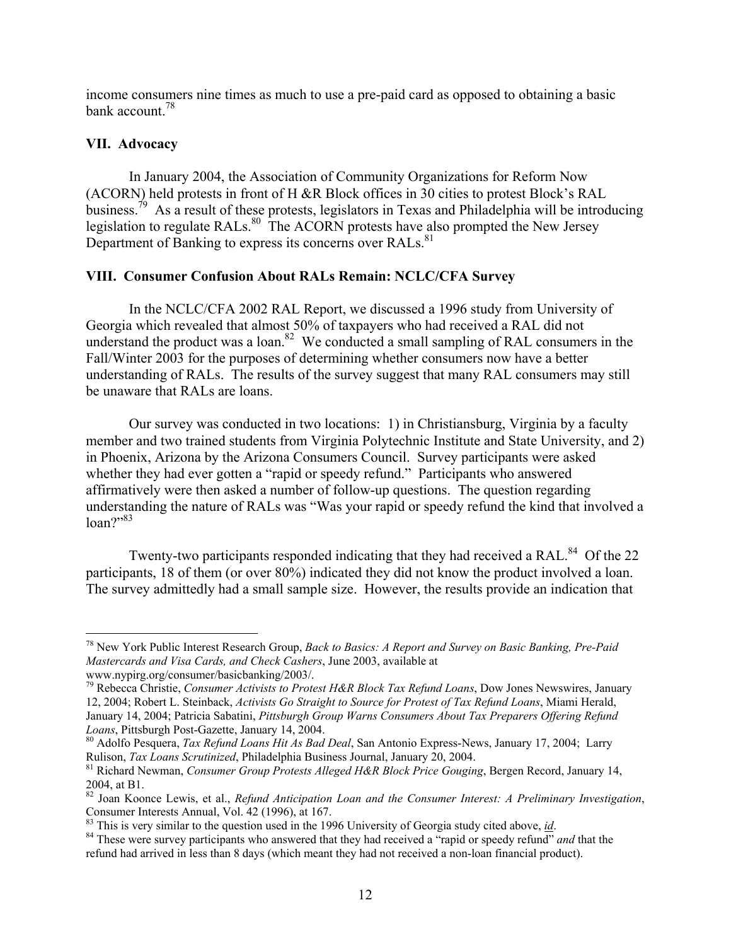income consumers nine times as much to use a pre-paid card as opposed to obtaining a basic bank account.<sup>[78](#page-11-0)</sup>

#### **VII. Advocacy**

1

In January 2004, the Association of Community Organizations for Reform Now (ACORN) held protests in front of H &R Block offices in 30 cities to protest Block's RAL business.<sup>79</sup> As a result of these protests, legislators in Texas and Philadelphia will be introducing legislation to regulate RALs.<sup>80</sup> The ACORN protests have also prompted the New Jersey Department of Banking to express its concerns over RALs.<sup>[81](#page-11-3)</sup>

# **VIII. Consumer Confusion About RALs Remain: NCLC/CFA Survey**

In the NCLC/CFA 2002 RAL Report, we discussed a 1996 study from University of Georgia which revealed that almost 50% of taxpayers who had received a RAL did not understand the product was a loan. $82$  We conducted a small sampling of RAL consumers in the Fall/Winter 2003 for the purposes of determining whether consumers now have a better understanding of RALs. The results of the survey suggest that many RAL consumers may still be unaware that RALs are loans.

Our survey was conducted in two locations: 1) in Christiansburg, Virginia by a faculty member and two trained students from Virginia Polytechnic Institute and State University, and 2) in Phoenix, Arizona by the Arizona Consumers Council. Survey participants were asked whether they had ever gotten a "rapid or speedy refund." Participants who answered affirmatively were then asked a number of follow-up questions. The question regarding understanding the nature of RALs was "Was your rapid or speedy refund the kind that involved a  $\text{loan} \mathcal{P}^{983}$  $\text{loan} \mathcal{P}^{983}$  $\text{loan} \mathcal{P}^{983}$ 

Twenty-two participants responded indicating that they had received a RAL.<sup>84</sup> Of the 22 participants, 18 of them (or over 80%) indicated they did not know the product involved a loan. The survey admittedly had a small sample size. However, the results provide an indication that

<span id="page-11-0"></span><sup>78</sup> New York Public Interest Research Group, *Back to Basics: A Report and Survey on Basic Banking, Pre-Paid Mastercards and Visa Cards, and Check Cashers*, June 2003, available at

<span id="page-11-1"></span>www.nypirg.org/consumer/basicbanking/2003/. 79 Rebecca Christie, *Consumer Activists to Protest H&R Block Tax Refund Loans*, Dow Jones Newswires, January 12, 2004; Robert L. Steinback, *Activists Go Straight to Source for Protest of Tax Refund Loans*, Miami Herald, January 14, 2004; Patricia Sabatini, *Pittsburgh Group Warns Consumers About Tax Preparers Offering Refund*

<span id="page-11-2"></span><sup>&</sup>lt;sup>80</sup> Adolfo Pesquera, *Tax Refund Loans Hit As Bad Deal*, San Antonio Express-News, January 17, 2004; Larry Rulison, *Tax Loans Scrutinized*, Philadelphia Business Journal, January 20, 2004. 81 Richard Newman, *Consumer Group Protests Alleged H&R Block Price Gouging*, Bergen Record, January 14,

<span id="page-11-3"></span><sup>2004,</sup> at B1.<br><sup>82</sup> Joan Koonce Lewis, et al., *Refund Anticipation Loan and the Consumer Interest: A Preliminary Investigation*,

<span id="page-11-4"></span>Consumer Interests Annual, Vol. 42 (1996), at 167.<br><sup>83</sup> This is very similar to the question used in the 1996 University of Georgia study cited above, <u>id</u>.<br><sup>84</sup> These were survey participants who answered that they had r

<span id="page-11-5"></span>

<span id="page-11-6"></span>refund had arrived in less than 8 days (which meant they had not received a non-loan financial product).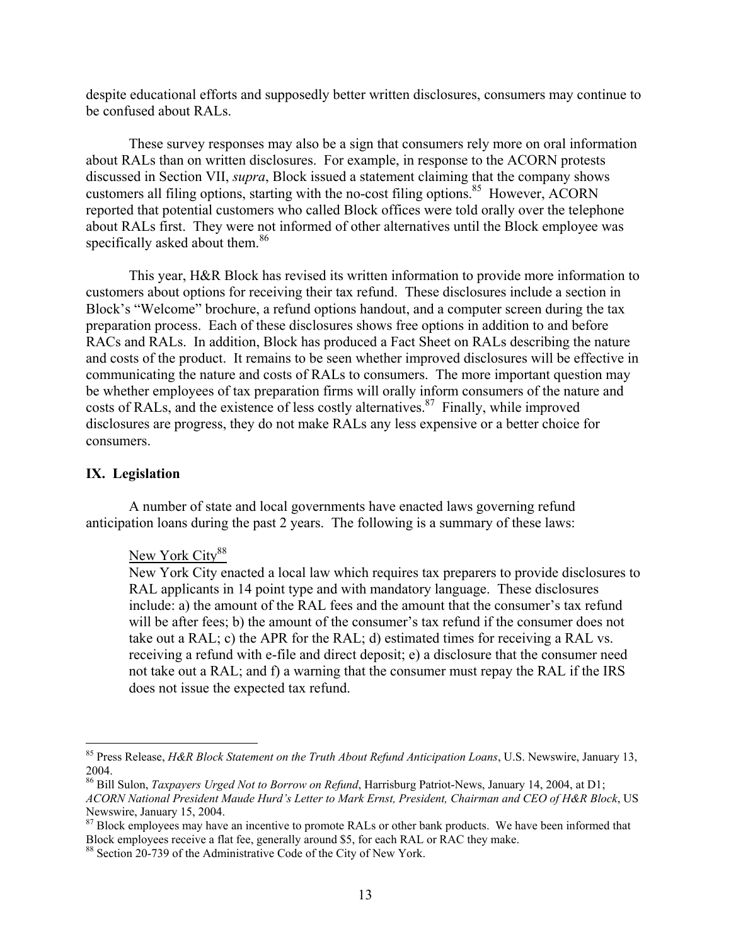despite educational efforts and supposedly better written disclosures, consumers may continue to be confused about RALs.

These survey responses may also be a sign that consumers rely more on oral information about RALs than on written disclosures. For example, in response to the ACORN protests discussed in Section VII, *supra*, Block issued a statement claiming that the company shows customers all filing options, starting with the no-cost filing options.<sup>85</sup> However, ACORN reported that potential customers who called Block offices were told orally over the telephone about RALs first. They were not informed of other alternatives until the Block employee was specifically asked about them.<sup>86</sup>

This year, H&R Block has revised its written information to provide more information to customers about options for receiving their tax refund. These disclosures include a section in Block's "Welcome" brochure, a refund options handout, and a computer screen during the tax preparation process. Each of these disclosures shows free options in addition to and before RACs and RALs. In addition, Block has produced a Fact Sheet on RALs describing the nature and costs of the product. It remains to be seen whether improved disclosures will be effective in communicating the nature and costs of RALs to consumers. The more important question may be whether employees of tax preparation firms will orally inform consumers of the nature and costs of RALs, and the existence of less costly alternatives.<sup>87</sup> Finally, while improved disclosures are progress, they do not make RALs any less expensive or a better choice for consumers.

#### **IX. Legislation**

1

A number of state and local governments have enacted laws governing refund anticipation loans during the past 2 years. The following is a summary of these laws:

#### New York City<sup>88</sup>

New York City enacted a local law which requires tax preparers to provide disclosures to RAL applicants in 14 point type and with mandatory language. These disclosures include: a) the amount of the RAL fees and the amount that the consumer's tax refund will be after fees; b) the amount of the consumer's tax refund if the consumer does not take out a RAL; c) the APR for the RAL; d) estimated times for receiving a RAL vs. receiving a refund with e-file and direct deposit; e) a disclosure that the consumer need not take out a RAL; and f) a warning that the consumer must repay the RAL if the IRS does not issue the expected tax refund.

<span id="page-12-0"></span><sup>85</sup> Press Release, *H&R Block Statement on the Truth About Refund Anticipation Loans*, U.S. Newswire, January 13, 2004. 86 Bill Sulon, *Taxpayers Urged Not to Borrow on Refund*, Harrisburg Patriot-News, January 14, 2004, at D1;

<span id="page-12-1"></span>*ACORN National President Maude Hurd's Letter to Mark Ernst, President, Chairman and CEO of H&R Block*, US

<span id="page-12-2"></span><sup>&</sup>lt;sup>87</sup> Block employees may have an incentive to promote RALs or other bank products. We have been informed that Block employees receive a flat fee, generally around \$5, for each RAL or RAC they make. 88 Section 20-739 of the Administrative Code of the City of New York.

<span id="page-12-3"></span>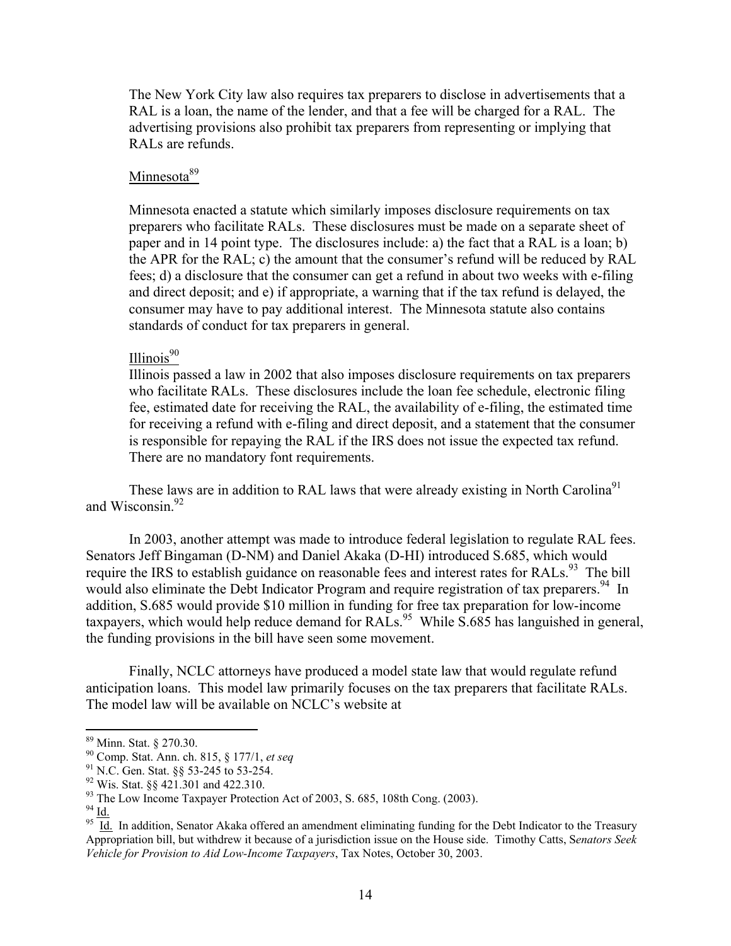The New York City law also requires tax preparers to disclose in advertisements that a RAL is a loan, the name of the lender, and that a fee will be charged for a RAL. The advertising provisions also prohibit tax preparers from representing or implying that RALs are refunds.

# Minnesota<sup>[89](#page-13-0)</sup>

Minnesota enacted a statute which similarly imposes disclosure requirements on tax preparers who facilitate RALs. These disclosures must be made on a separate sheet of paper and in 14 point type. The disclosures include: a) the fact that a RAL is a loan; b) the APR for the RAL; c) the amount that the consumer's refund will be reduced by RAL fees; d) a disclosure that the consumer can get a refund in about two weeks with e-filing and direct deposit; and e) if appropriate, a warning that if the tax refund is delayed, the consumer may have to pay additional interest. The Minnesota statute also contains standards of conduct for tax preparers in general.

# Illinois [90](#page-13-1)

Illinois passed a law in 2002 that also imposes disclosure requirements on tax preparers who facilitate RALs. These disclosures include the loan fee schedule, electronic filing fee, estimated date for receiving the RAL, the availability of e-filing, the estimated time for receiving a refund with e-filing and direct deposit, and a statement that the consumer is responsible for repaying the RAL if the IRS does not issue the expected tax refund. There are no mandatory font requirements.

These laws are in addition to RAL laws that were already existing in North Carolina<sup>[91](#page-13-2)</sup> and Wisconsin.<sup>92</sup>

In 2003, another attempt was made to introduce federal legislation to regulate RAL fees. Senators Jeff Bingaman (D-NM) and Daniel Akaka (D-HI) introduced S.685, which would require the IRS to establish guidance on reasonable fees and interest rates for RALs.<sup>93</sup> The bill would also eliminate the Debt Indicator Program and require registration of tax preparers.<sup>94</sup> In addition, S.685 would provide \$10 million in funding for free tax preparation for low-income taxpayers, which would help reduce demand for RALs.<sup>95</sup> While  $\overline{S}$ ,685 has languished in general, the funding provisions in the bill have seen some movement.

Finally, NCLC attorneys have produced a model state law that would regulate refund anticipation loans. This model law primarily focuses on the tax preparers that facilitate RALs. The model law will be available on NCLC's website at

<span id="page-13-0"></span>

<span id="page-13-1"></span>

<span id="page-13-2"></span>

<span id="page-13-3"></span>

<span id="page-13-4"></span>

<span id="page-13-6"></span><span id="page-13-5"></span>

<sup>&</sup>lt;sup>89</sup> Minn. Stat. § 270.30.<br><sup>90</sup> Comp. Stat. Ann. ch. 815, § 177/1, *et seq*<br><sup>91</sup> N.C. Gen. Stat. §§ 53-245 to 53-254.<br><sup>92</sup> Wis. Stat. §§ 421.301 and 422.310.<br><sup>93</sup> Td<sub>1</sub>. In addition, Senator Akaka offered an amendment eli Appropriation bill, but withdrew it because of a jurisdiction issue on the House side. Timothy Catts, S*enators Seek Vehicle for Provision to Aid Low-Income Taxpayers*, Tax Notes, October 30, 2003.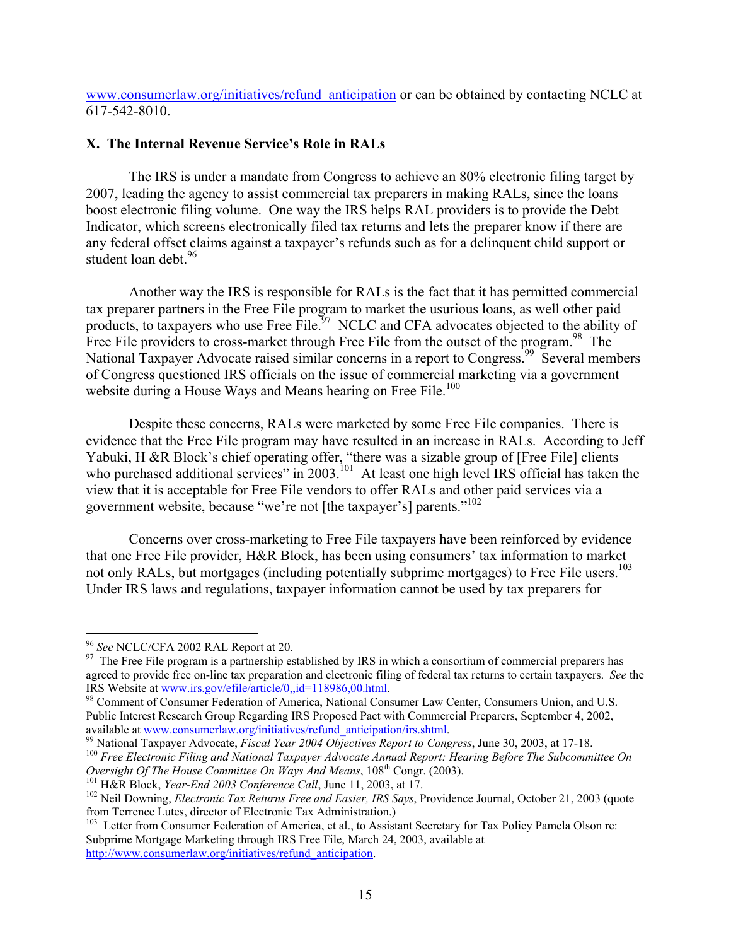www.consumerlaw.org/initiatives/refund anticipation or can be obtained by contacting NCLC at 617-542-8010.

# **X. The Internal Revenue Service's Role in RALs**

The IRS is under a mandate from Congress to achieve an 80% electronic filing target by 2007, leading the agency to assist commercial tax preparers in making RALs, since the loans boost electronic filing volume. One way the IRS helps RAL providers is to provide the Debt Indicator, which screens electronically filed tax returns and lets the preparer know if there are any federal offset claims against a taxpayer's refunds such as for a delinquent child support or student loan debt.<sup>[96](#page-14-0)</sup>

Another way the IRS is responsible for RALs is the fact that it has permitted commercial tax preparer partners in the Free File program to market the usurious loans, as well other paid products, to taxpayers who use Free File.<sup>97</sup> NCLC and CFA advocates objected to the ability of Free File providers to cross-market through Free File from the outset of the program.<sup>98</sup> The National Taxpayer Advocate raised similar concerns in a report to Congress.<sup>99</sup> Several members of Congress questioned IRS officials on the issue of commercial marketing via a government website during a House Ways and Means hearing on Free File.<sup>100</sup>

Despite these concerns, RALs were marketed by some Free File companies. There is evidence that the Free File program may have resulted in an increase in RALs. According to Jeff Yabuki, H &R Block's chief operating offer, "there was a sizable group of [Free File] clients who purchased additional services" in 2003.<sup>101</sup> At least one high level IRS official has taken the view that it is acceptable for Free File vendors to offer RALs and other paid services via a government website, because "we're not [the taxpayer's] parents."[102](#page-14-6) 

Concerns over cross-marketing to Free File taxpayers have been reinforced by evidence that one Free File provider, H&R Block, has been using consumers' tax information to market not only RALs, but mortgages (including potentially subprime mortgages) to Free File users.<sup>103</sup> Under IRS laws and regulations, taxpayer information cannot be used by tax preparers for

 $\overline{a}$ 

<span id="page-14-1"></span><span id="page-14-0"></span><sup>&</sup>lt;sup>96</sup> *See* NCLC/CFA 2002 RAL Report at 20.<br><sup>97</sup> The Free File program is a partnership established by IRS in which a consortium of commercial preparers has agreed to provide free on-line tax preparation and electronic filing of federal tax returns to certain taxpayers. *See* the IRS Website at [www.irs.gov/efile/article/0,,id=118986,00.html](http://www.irs.gov/efile/article/0,,id=118986,00.html).<br><sup>98</sup> Comment of Consumer Federation of America, National Consumer Law Center, Consumers Union, and U.S.

<span id="page-14-2"></span>Public Interest Research Group Regarding IRS Proposed Pact with Commercial Preparers, September 4, 2002, available at www.consumerlaw.org/initiatives/refund anticipation/irs.shtml.

<span id="page-14-3"></span><sup>&</sup>lt;sup>99</sup> National Taxpayer Advocate, *Fiscal Year 2004 Objectives Report to Congress*, June 30, 2003, at 17-18.<br><sup>100</sup> Free Electronic Filing and National Taxpayer Advocate Annual Report: Hearing Before The Subcommittee On<br>Ove

<span id="page-14-4"></span>

<span id="page-14-6"></span><span id="page-14-5"></span>

<sup>&</sup>lt;sup>101</sup> H&R Block, *Year-End 2003 Conference Call*, June 11, 2003, at 17.<br><sup>102</sup> Neil Downing, *Electronic Tax Returns Free and Easier*, *IRS Says*, Providence Journal, October 21, 2003 (quote from Terrence Lutes, director o

<span id="page-14-7"></span><sup>&</sup>lt;sup>103</sup> Letter from Consumer Federation of America, et al., to Assistant Secretary for Tax Policy Pamela Olson re: Subprime Mortgage Marketing through IRS Free File, March 24, 2003, available at [http://www.consumerlaw.org/initiatives/refund\\_anticipation](http://www.consumerlaw.org/initiatives/refund_anticipation).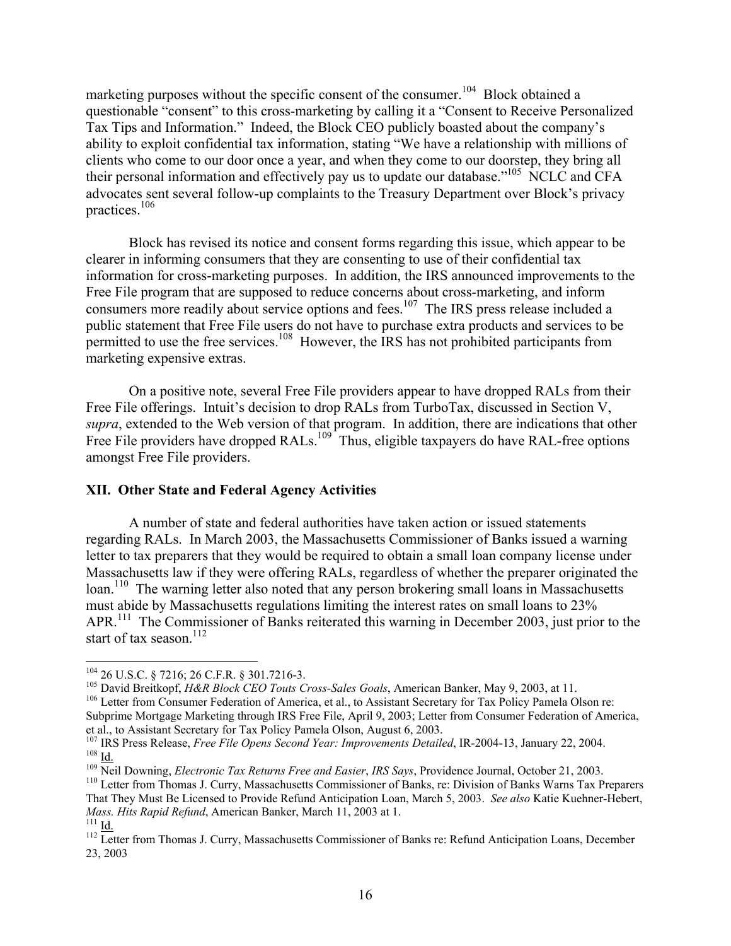marketing purposes without the specific consent of the consumer.<sup>104</sup> Block obtained a questionable "consent" to this cross-marketing by calling it a "Consent to Receive Personalized Tax Tips and Information." Indeed, the Block CEO publicly boasted about the company's ability to exploit confidential tax information, stating "We have a relationship with millions of clients who come to our door once a year, and when they come to our doorstep, they bring all their personal information and effectively pay us to update our database."<sup>105</sup> NCLC and CFA advocates sent several follow-up complaints to the Treasury Department over Block's privacy practices.[106](#page-15-2) 

Block has revised its notice and consent forms regarding this issue, which appear to be clearer in informing consumers that they are consenting to use of their confidential tax information for cross-marketing purposes. In addition, the IRS announced improvements to the Free File program that are supposed to reduce concerns about cross-marketing, and inform consumers more readily about service options and fees.<sup>107</sup> The IRS press release included a public statement that Free File users do not have to purchase extra products and services to be permitted to use the free services.<sup>108</sup> However, the IRS has not prohibited participants from marketing expensive extras.

On a positive note, several Free File providers appear to have dropped RALs from their Free File offerings. Intuit's decision to drop RALs from TurboTax, discussed in Section V, *supra*, extended to the Web version of that program. In addition, there are indications that other Free File providers have dropped RALs.<sup>109</sup> Thus, eligible taxpayers do have RAL-free options amongst Free File providers.

# **XII. Other State and Federal Agency Activities**

A number of state and federal authorities have taken action or issued statements regarding RALs. In March 2003, the Massachusetts Commissioner of Banks issued a warning letter to tax preparers that they would be required to obtain a small loan company license under Massachusetts law if they were offering RALs, regardless of whether the preparer originated the loan.<sup>110</sup> The warning letter also noted that any person brokering small loans in Massachusetts must abide by Massachusetts regulations limiting the interest rates on small loans to 23% APR.<sup>111</sup> The Commissioner of Banks reiterated this warning in December 2003, just prior to the start of tax season.<sup>112</sup>

1

<span id="page-15-1"></span><span id="page-15-0"></span>

<sup>&</sup>lt;sup>104</sup> 26 U.S.C. § 7216; 26 C.F.R. § 301.7216-3.<br><sup>105</sup> David Breitkopf, *H&R Block CEO Touts Cross-Sales Goals*, American Banker, May 9, 2003, at 11.<br><sup>106</sup> Letter from Consumer Federation of America, et al., to Assistant Se

<span id="page-15-2"></span>Subprime Mortgage Marketing through IRS Free File, April 9, 2003; Letter from Consumer Federation of America,

<span id="page-15-3"></span>et al., to Assistant Secretary for Tax Policy Pamela Olson, August 6, 2003.<br><sup>107</sup> IRS Press Release, *Free File Opens Second Year: Improvements Detailed*, IR-2004-13, January 22, 2004.<br><sup>108</sup> <u>Id.</u><br><sup>109</sup> Neil Downing, *Elec* 

<span id="page-15-5"></span><span id="page-15-4"></span>

<span id="page-15-6"></span>That They Must Be Licensed to Provide Refund Anticipation Loan, March 5, 2003. *See also* Katie Kuehner-Hebert, *Mass. Hits Rapid Refund*, American Banker, March 11, 2003 at 1.<br><sup>111</sup> Id. 112 Letter from Thomas J. Curry, Massachusetts Commissioner of Banks re: Refund Anticipation Loans, December

<span id="page-15-8"></span><span id="page-15-7"></span><sup>23, 2003</sup>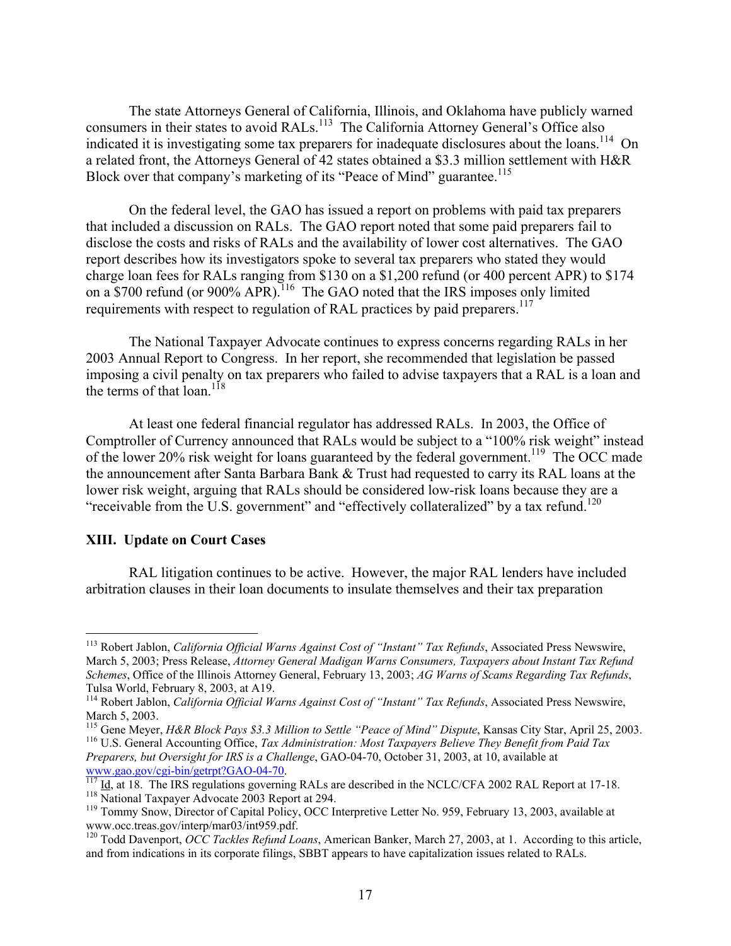The state Attorneys General of California, Illinois, and Oklahoma have publicly warned consumers in their states to avoid RALs.<sup>113</sup> The California Attorney General's Office also indicated it is investigating some tax preparers for inadequate disclosures about the loans.<sup>114</sup> On a related front, the Attorneys General of 42 states obtained a \$3.3 million settlement with H&R Block over that company's marketing of its "Peace of Mind" guarantee.<sup>[115](#page-16-2)</sup>

On the federal level, the GAO has issued a report on problems with paid tax preparers that included a discussion on RALs. The GAO report noted that some paid preparers fail to disclose the costs and risks of RALs and the availability of lower cost alternatives. The GAO report describes how its investigators spoke to several tax preparers who stated they would charge loan fees for RALs ranging from \$130 on a \$1,200 refund (or 400 percent APR) to \$174 on a \$700 refund (or 900% APR).<sup>116</sup> The GAO noted that the IRS imposes only limited requirements with respect to regulation of RAL practices by paid preparers.<sup>[117](#page-16-4)</sup>

The National Taxpayer Advocate continues to express concerns regarding RALs in her 2003 Annual Report to Congress. In her report, she recommended that legislation be passed imposing a civil penalty on tax preparers who failed to advise taxpayers that a RAL is a loan and the terms of that  $\log^{118}$ 

At least one federal financial regulator has addressed RALs. In 2003, the Office of Comptroller of Currency announced that RALs would be subject to a "100% risk weight" instead of the lower 20% risk weight for loans guaranteed by the federal government.<sup>119</sup> The OCC made the announcement after Santa Barbara Bank & Trust had requested to carry its RAL loans at the lower risk weight, arguing that RALs should be considered low-risk loans because they are a "receivable from the U.S. government" and "effectively collateralized" by a tax refund.<sup>120</sup>

#### **XIII. Update on Court Cases**

1

RAL litigation continues to be active. However, the major RAL lenders have included arbitration clauses in their loan documents to insulate themselves and their tax preparation

<span id="page-16-3"></span>*Preparers, but Oversight for IRS is a Challenge*, GAO-04-70, October 31, 2003, at 10, available at

<span id="page-16-0"></span><sup>113</sup> Robert Jablon, *California Official Warns Against Cost of "Instant" Tax Refunds*, Associated Press Newswire, March 5, 2003; Press Release, *Attorney General Madigan Warns Consumers, Taxpayers about Instant Tax Refund Schemes*, Office of the Illinois Attorney General, February 13, 2003; *AG Warns of Scams Regarding Tax Refunds*,

<span id="page-16-1"></span>Tulsa World, February 8, 2003, at A19. 114 Robert Jablon, *California Official Warns Against Cost of "Instant" Tax Refunds*, Associated Press Newswire,

<span id="page-16-2"></span><sup>&</sup>lt;sup>115</sup> Gene Meyer, *H&R Block Pays \$3.3 Million to Settle "Peace of Mind" Dispute*, Kansas City Star, April 25, 2003.<br><sup>116</sup> U.S. General Accounting Office, *Tax Administration: Most Taxpayers Believe They Benefit from Paid* 

<span id="page-16-4"></span>

<span id="page-16-6"></span><span id="page-16-5"></span>

[www.gao.gov/cgi-bin/getrpt?GAO-04-70](http://www.gao.gov/cgi-bin/getrpt?GAO-04-70).<br>
<sup>[117](http://www.gao.gov/cgi-bin/getrpt?GAO-04-70)</sup> Id, at 18. The IRS regulations governing RALs are described in the NCLC/CFA 2002 RAL Report at 17-18.<br>
<sup>118</sup> Tommy Snow, Director of Capital Policy, OCC Interpretive Letter No.

<span id="page-16-7"></span><sup>&</sup>lt;sup>120</sup> Todd Davenport, *OCC Tackles Refund Loans*, American Banker, March 27, 2003, at 1. According to this article, and from indications in its corporate filings, SBBT appears to have capitalization issues related to RALs.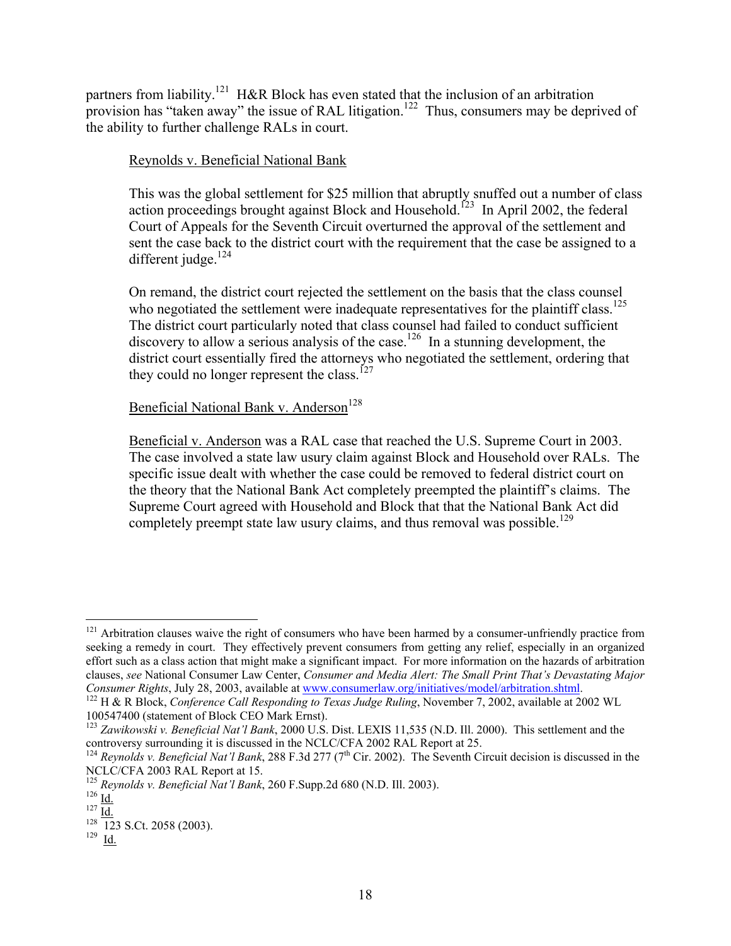partners from liability.<sup>121</sup> H&R Block has even stated that the inclusion of an arbitration provision has "taken away" the issue of RAL litigation.<sup>122</sup> Thus, consumers may be deprived of the ability to further challenge RALs in court.

# Reynolds v. Beneficial National Bank

This was the global settlement for \$25 million that abruptly snuffed out a number of class action proceedings brought against Block and Household.<sup>123</sup> In April 2002, the federal Court of Appeals for the Seventh Circuit overturned the approval of the settlement and sent the case back to the district court with the requirement that the case be assigned to a different judge. $124$ 

On remand, the district court rejected the settlement on the basis that the class counsel who negotiated the settlement were inadequate representatives for the plaintiff class.<sup>125</sup> The district court particularly noted that class counsel had failed to conduct sufficient discovery to allow a serious analysis of the case.<sup>126</sup> In a stunning development, the district court essentially fired the attorneys who negotiated the settlement, ordering that they could no longer represent the class.<sup>127</sup>

# Beneficial National Bank v. Anderson<sup>[128](#page-17-7)</sup>

Beneficial v. Anderson was a RAL case that reached the U.S. Supreme Court in 2003. The case involved a state law usury claim against Block and Household over RALs. The specific issue dealt with whether the case could be removed to federal district court on the theory that the National Bank Act completely preempted the plaintiff's claims. The Supreme Court agreed with Household and Block that that the National Bank Act did completely preempt state law usury claims, and thus removal was possible.<sup>129</sup>

<span id="page-17-0"></span> $121$  Arbitration clauses waive the right of consumers who have been harmed by a consumer-unfriendly practice from seeking a remedy in court. They effectively prevent consumers from getting any relief, especially in an organized effort such as a class action that might make a significant impact. For more information on the hazards of arbitration clauses, *see* National Consumer Law Center, *Consumer and Media Alert: The Small Print That's Devastating Major Consumer Rights*, July 28, 2003, available at [www.consumerlaw.org/initiatives/model/arbitration.shtml](http://www.consumerlaw.org/initiatives/model/arbitration.shtml).<br><sup>122</sup> H & R Block, *Conference Call Responding to Texas Judge Ruling*, November 7, 2002, available at 2002 WL

<span id="page-17-1"></span>

<span id="page-17-2"></span><sup>100547400</sup> (statement of Block CEO Mark Ernst). 123 *Zawikowski v. Beneficial Nat'l Bank*, 2000 U.S. Dist. LEXIS 11,535 (N.D. Ill. 2000). This settlement and the

<span id="page-17-3"></span><sup>&</sup>lt;sup>124</sup> *Reynolds v. Beneficial Nat'l Bank*, 288 F.3d 277 (7<sup>th</sup> Cir. 2002). The Seventh Circuit decision is discussed in the NCLC/CFA 2003 RAL Report at 15.

<span id="page-17-4"></span><sup>&</sup>lt;sup>125</sup> *Reynolds v. Beneficial*  $\frac{\text{Nat}'}{\text{Nat}}$  *Bank*, 260 F.Supp.2d 680 (N.D. Ill. 2003).<br><sup>126</sup> <u>Id.</u> 127 <u>Id.</u> 128 S.Ct. 2058 (2003). <sup>129</sup> Id.

<span id="page-17-5"></span>

<span id="page-17-6"></span>

<span id="page-17-7"></span>

<span id="page-17-8"></span>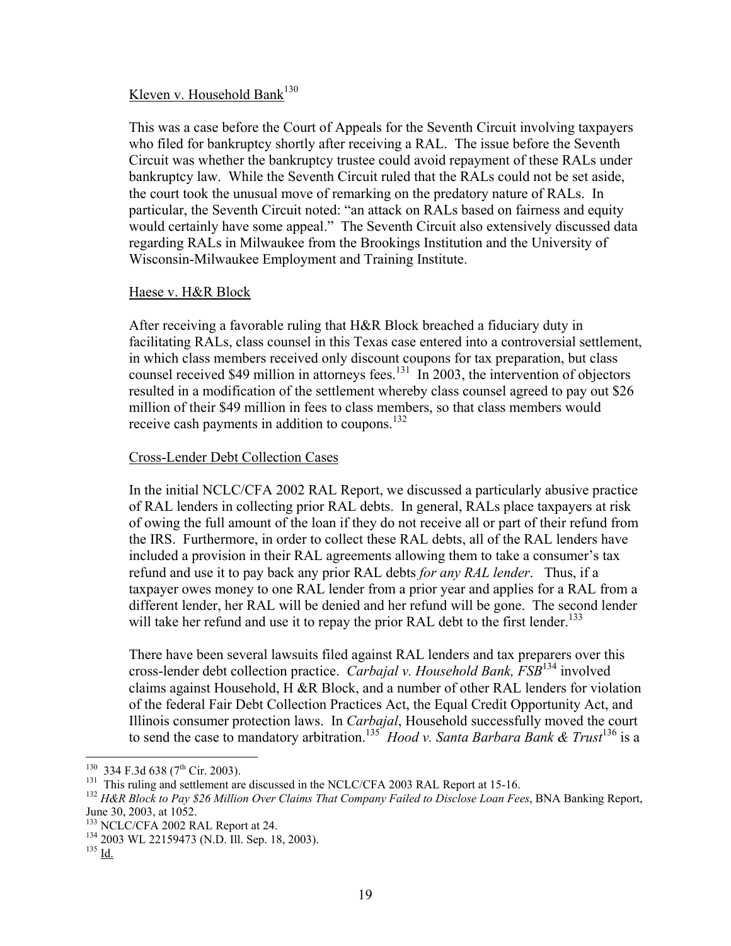# Kleven v. Household Bank<sup>[130](#page-18-0)</sup>

This was a case before the Court of Appeals for the Seventh Circuit involving taxpayers who filed for bankruptcy shortly after receiving a RAL. The issue before the Seventh Circuit was whether the bankruptcy trustee could avoid repayment of these RALs under bankruptcy law. While the Seventh Circuit ruled that the RALs could not be set aside, the court took the unusual move of remarking on the predatory nature of RALs. In particular, the Seventh Circuit noted: "an attack on RALs based on fairness and equity would certainly have some appeal." The Seventh Circuit also extensively discussed data regarding RALs in Milwaukee from the Brookings Institution and the University of Wisconsin-Milwaukee Employment and Training Institute.

#### Haese v. H&R Block

After receiving a favorable ruling that H&R Block breached a fiduciary duty in facilitating RALs, class counsel in this Texas case entered into a controversial settlement, in which class members received only discount coupons for tax preparation, but class counsel received \$49 million in attorneys fees.<sup>131</sup> In 2003, the intervention of objectors resulted in a modification of the settlement whereby class counsel agreed to pay out \$26 million of their \$49 million in fees to class members, so that class members would receive cash payments in addition to coupons.[132](#page-18-2)

# Cross-Lender Debt Collection Cases

In the initial NCLC/CFA 2002 RAL Report, we discussed a particularly abusive practice of RAL lenders in collecting prior RAL debts. In general, RALs place taxpayers at risk of owing the full amount of the loan if they do not receive all or part of their refund from the IRS. Furthermore, in order to collect these RAL debts, all of the RAL lenders have included a provision in their RAL agreements allowing them to take a consumer's tax refund and use it to pay back any prior RAL debts *for any RAL lender*. Thus, if a taxpayer owes money to one RAL lender from a prior year and applies for a RAL from a different lender, her RAL will be denied and her refund will be gone. The second lender will take her refund and use it to repay the prior RAL debt to the first lender.<sup>133</sup>

There have been several lawsuits filed against RAL lenders and tax preparers over this cross-lender debt collection practice. *Carbajal v. Household Bank, FSB*[134 i](#page-18-4)nvolved claims against Household, H &R Block, and a number of other RAL lenders for violation of the federal Fair Debt Collection Practices Act, the Equal Credit Opportunity Act, and Illinois consumer protection laws. In *Carbajal*, Household successfully moved the court to send the case to mandatory arbitration[.135](#page-18-5) *Hood v. Santa Barbara Bank & Trust*[136](#page-18-6) is a

<span id="page-18-6"></span><span id="page-18-0"></span> $130$  334 F.3d 638 (7<sup>th</sup> Cir. 2003).

<span id="page-18-2"></span><span id="page-18-1"></span>

<sup>&</sup>lt;sup>131</sup> This ruling and settlement are discussed in the NCLC/CFA 2003 RAL Report at 15-16.<br><sup>132</sup> H&R Block to Pay \$26 Million Over Claims That Company Failed to Disclose Loan Fees, BNA Banking Report,<br>June 30, 2003, at 1052

<span id="page-18-4"></span><span id="page-18-3"></span>

<sup>&</sup>lt;sup>133</sup> NCLC/CFA 2002 RAL Report at 24.<br><sup>134</sup> 2003 WL 22159473 (N.D. Ill. Sep. 18, 2003).<br><sup>135</sup> Id.

<span id="page-18-5"></span>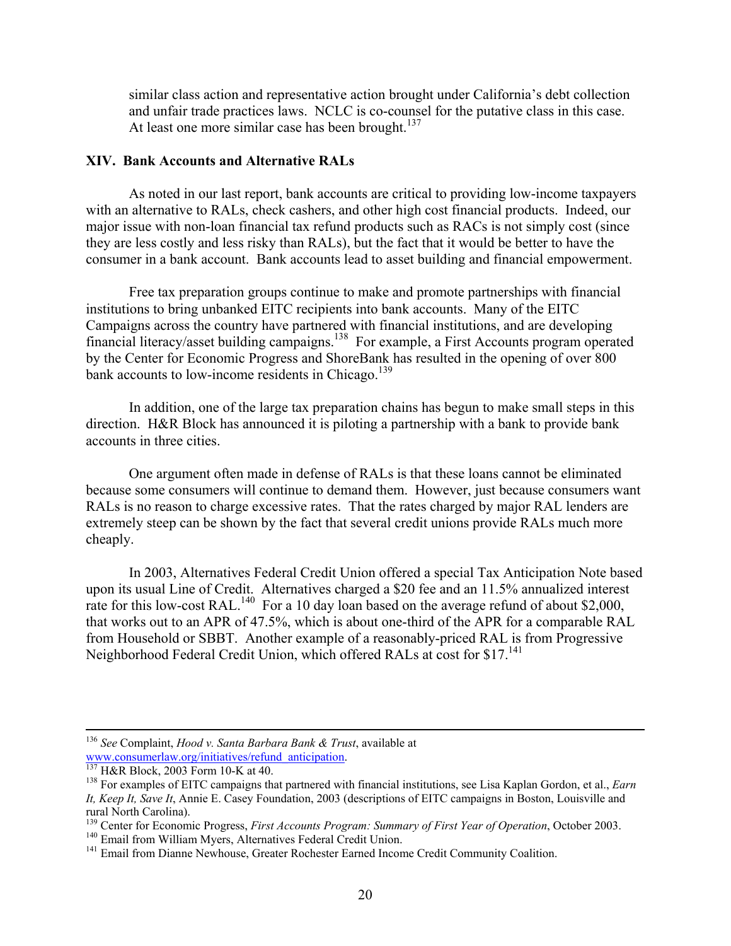similar class action and representative action brought under California's debt collection and unfair trade practices laws. NCLC is co-counsel for the putative class in this case. At least one more similar case has been brought. $137$ 

#### **XIV. Bank Accounts and Alternative RALs**

As noted in our last report, bank accounts are critical to providing low-income taxpayers with an alternative to RALs, check cashers, and other high cost financial products. Indeed, our major issue with non-loan financial tax refund products such as RACs is not simply cost (since they are less costly and less risky than RALs), but the fact that it would be better to have the consumer in a bank account. Bank accounts lead to asset building and financial empowerment.

Free tax preparation groups continue to make and promote partnerships with financial institutions to bring unbanked EITC recipients into bank accounts. Many of the EITC Campaigns across the country have partnered with financial institutions, and are developing financial literacy/asset building campaigns[.138](#page-19-1) For example, a First Accounts program operated by the Center for Economic Progress and ShoreBank has resulted in the opening of over 800 bank accounts to low-income residents in Chicago.<sup>[139](#page-19-2)</sup>

In addition, one of the large tax preparation chains has begun to make small steps in this direction. H&R Block has announced it is piloting a partnership with a bank to provide bank accounts in three cities.

One argument often made in defense of RALs is that these loans cannot be eliminated because some consumers will continue to demand them. However, just because consumers want RALs is no reason to charge excessive rates. That the rates charged by major RAL lenders are extremely steep can be shown by the fact that several credit unions provide RALs much more cheaply.

In 2003, Alternatives Federal Credit Union offered a special Tax Anticipation Note based upon its usual Line of Credit. Alternatives charged a \$20 fee and an 11.5% annualized interest rate for this low-cost RAL.<sup>140</sup> For a 10 day loan based on the average refund of about \$2,000, that works out to an APR of 47.5%, which is about one-third of the APR for a comparable RAL from Household or SBBT. Another example of a reasonably-priced RAL is from Progressive Neighborhood Federal Credit Union, which offered RALs at cost for \$17.<sup>[141](#page-19-4)</sup>

<sup>&</sup>lt;sup>136</sup> *See* Complaint, *Hood v. Santa Barbara Bank & Trust*, available at www.consumerlaw.org/initiatives/refund\_anticipation.

<span id="page-19-1"></span><span id="page-19-0"></span>

<sup>&</sup>lt;sup>[137](http://www.consumerlaw.org/initiatives/refund_anticipation)</sup> H&R Block, 2003 Form 10-K at 40. **138 Form 10-K at 40.** 138 For examples of EITC campaigns that partnered with financial institutions, see Lisa Kaplan Gordon, et al., *Earn It, Keep It, Save It*, Annie E. Casey Foundation, 2003 (descriptions of EITC campaigns in Boston, Louisville and rural North Carolina).<br><sup>139</sup> Center for Economic Progress, *First Accounts Program: Summary of First Year of Operation*, October 2003.<br><sup>140</sup> Email from William Myers, Alternatives Federal Credit Union.<br><sup>141</sup> Email from Dia

<span id="page-19-2"></span>

<span id="page-19-3"></span>

<span id="page-19-4"></span>